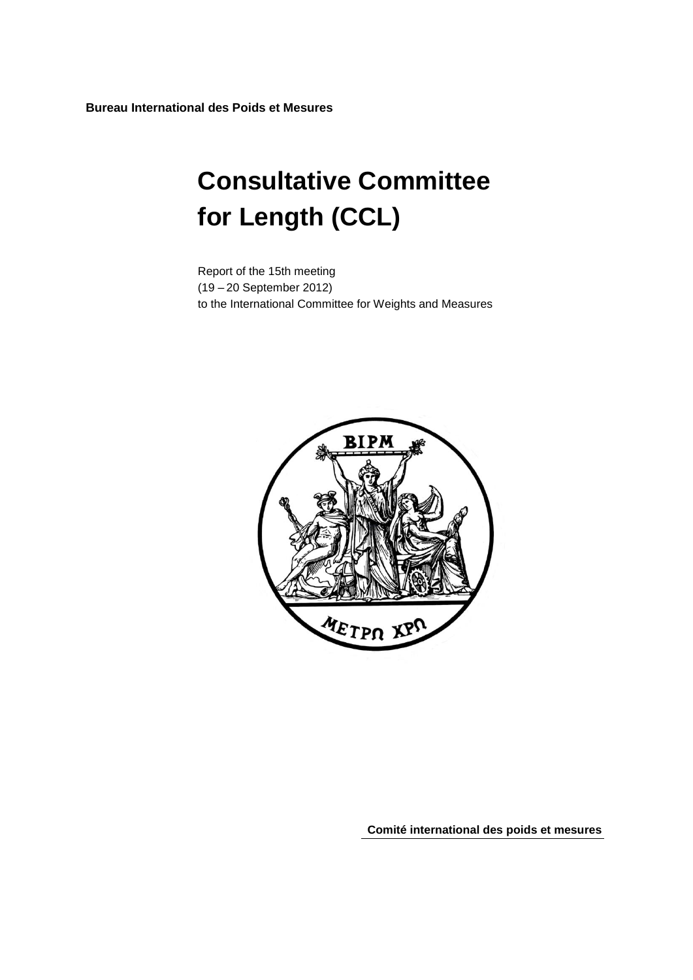**Bureau International des Poids et Mesures**

# **Consultative Committee for Length (CCL)**

Report of the 15th meeting (19 – 20 September 2012) to the International Committee for Weights and Measures



**Comité international des poids et mesures**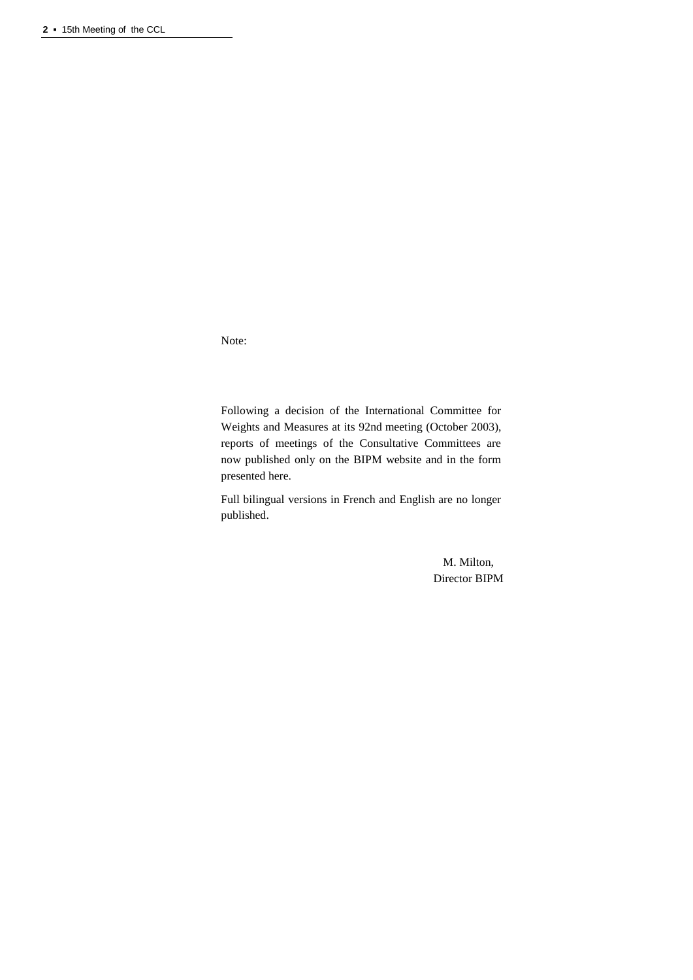Note:

Following a decision of the International Committee for Weights and Measures at its 92nd meeting (October 2003), reports of meetings of the Consultative Committees are now published only on the BIPM website and in the form presented here.

Full bilingual versions in French and English are no longer published.

> M. Milton, Director BIPM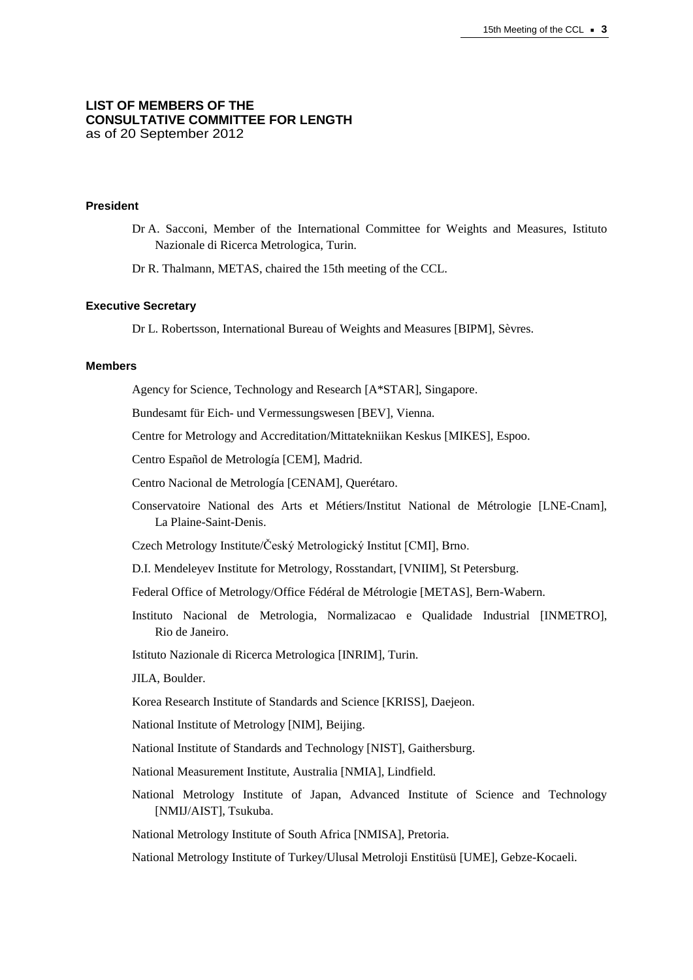## **LIST OF MEMBERS OF THE CONSULTATIVE COMMITTEE FOR LENGTH** as of 20 September 2012

#### **President**

Dr A. Sacconi, Member of the International Committee for Weights and Measures, Istituto Nazionale di Ricerca Metrologica, Turin.

Dr R. Thalmann, METAS, chaired the 15th meeting of the CCL.

# **Executive Secretary**

Dr L. Robertsson, International Bureau of Weights and Measures [BIPM], Sèvres.

#### **Members**

Agency for Science, Technology and Research [\[A\\*STAR\]](http://www.nmc.a-star.edu.sg/), Singapore.

Bundesamt für Eich- und Vermessungswesen [\[BEV\]](http://www.bev.gv.at/), Vienna.

Centre for Metrology and Accreditation/Mittatekniikan Keskus [MIKES], Espoo.

Centro Español de Metrología [CEM], Madrid.

Centro Nacional de Metrología [CENAM], Querétaro.

- Conservatoire National des Arts et Métiers/Institut National de Métrologie [LNE-Cnam], La Plaine-Saint-Denis.
- Czech Metrology Institute/Český Metrologický Institut [CMI], Brno.
- D.I. Mendeleyev Institute for Metrology, Rosstandart, [VNIIM], St Petersburg.
- Federal Office of Metrology/Office Fédéral de Métrologie [METAS], Bern-Wabern.
- Instituto Nacional de Metrologia, Normalizacao e Qualidade Industrial [INMETRO], Rio de Janeiro.

Istituto Nazionale di Ricerca Metrologica [INRIM], Turin.

JILA, Boulder.

Korea Research Institute of Standards and Science [KRISS], Daejeon.

National Institute of Metrology [NIM], Beijing.

National Institute of Standards and Technology [NIST], Gaithersburg.

- National Measurement Institute, Australia [NMIA], Lindfield.
- National Metrology Institute of Japan, Advanced Institute of Science and Technology [NMIJ/AIST], Tsukuba.

National Metrology Institute of South Africa [NMISA], Pretoria.

National Metrology Institute of Turkey/Ulusal Metroloji Enstitüsü [UME], Gebze-Kocaeli.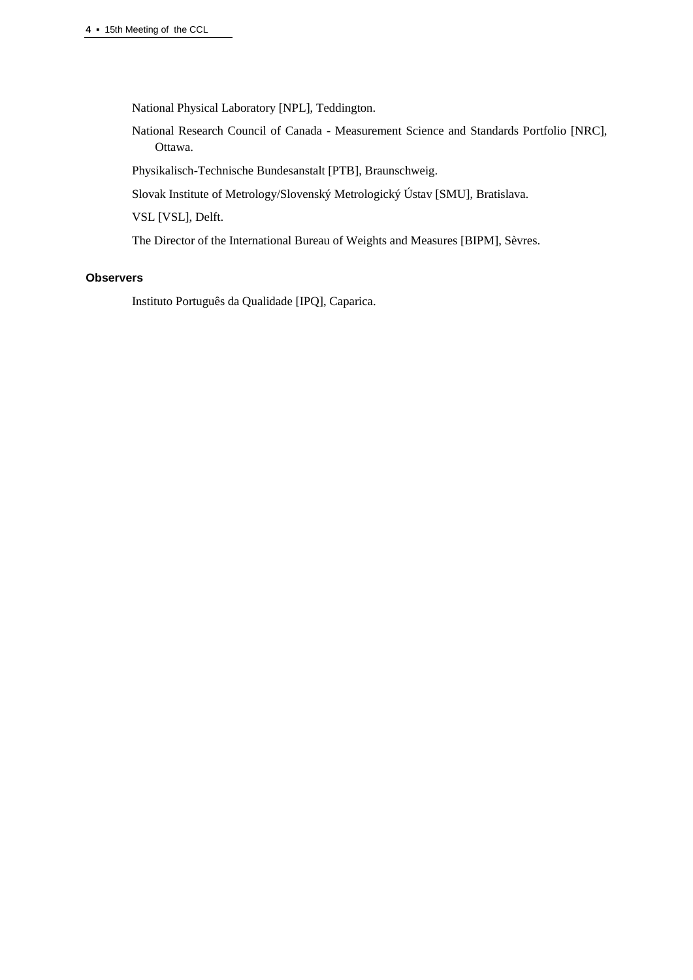National Physical Laboratory [NPL], Teddington.

National Research Council of Canada - Measurement Science and Standards Portfolio [NRC], Ottawa.

Physikalisch-Technische Bundesanstalt [PTB], Braunschweig.

Slovak Institute of Metrology/Slovenský Metrologický Ústav [SMU], Bratislava.

VSL [VSL], Delft.

The Director of the International Bureau of Weights and Measures [BIPM], Sèvres.

## **Observers**

Instituto Português da Qualidade [IPQ], Caparica.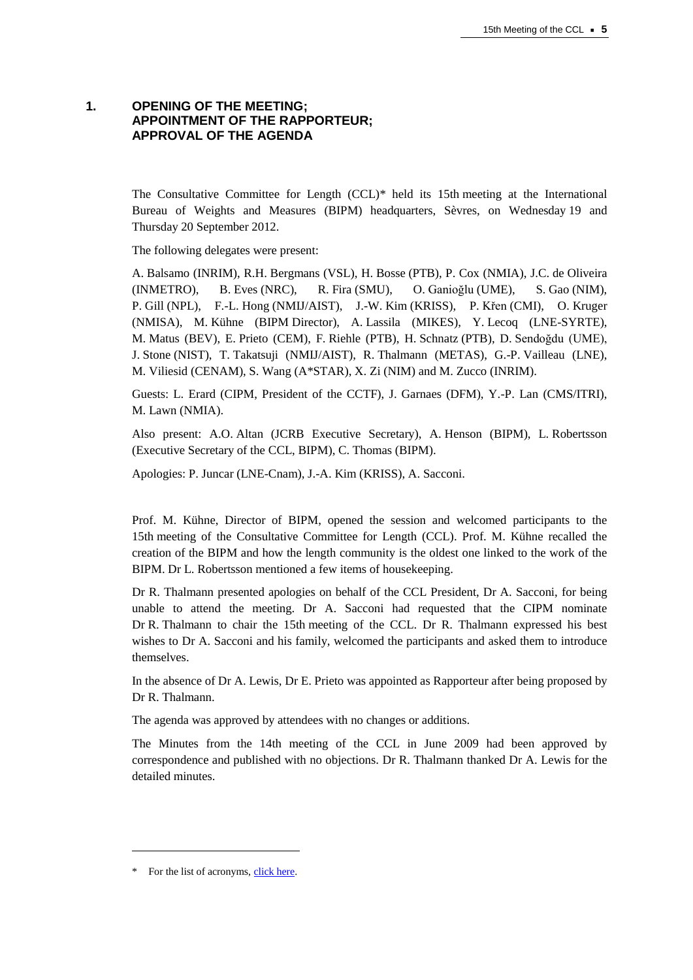# **1. OPENING OF THE MEETING; APPOINTMENT OF THE RAPPORTEUR; APPROVAL OF THE AGENDA**

The Consultative Committee for Length (CCL)\* held its 15th meeting at the International Bureau of Weights and Measures (BIPM) headquarters, Sèvres, on Wednesday 19 and Thursday 20 September 2012.

The following delegates were present:

A. Balsamo (INRIM), R.H. Bergmans (VSL), H. Bosse (PTB), P. Cox (NMIA), J.C. de Oliveira (INMETRO), B. Eves (NRC), R. Fira (SMU), O. Ganioğlu (UME), S. Gao (NIM), P. Gill (NPL), F.-L. Hong (NMIJ/AIST), J.-W. Kim (KRISS), P. Křen (CMI), O. Kruger (NMISA), M. Kühne (BIPM Director), A. Lassila (MIKES), Y. Lecoq (LNE-SYRTE), M. Matus (BEV), E. Prieto (CEM), F. Riehle (PTB), H. Schnatz (PTB), D. Sendoğdu (UME), J. Stone (NIST), T. Takatsuji (NMIJ/AIST), R. Thalmann (METAS), G.-P. Vailleau (LNE), M. Viliesid (CENAM), S. Wang (A\*STAR), X. Zi (NIM) and M. Zucco (INRIM).

Guests: L. Erard (CIPM, President of the CCTF), J. Garnaes (DFM), Y.-P. Lan (CMS/ITRI), M. Lawn (NMIA).

Also present: A.O. Altan (JCRB Executive Secretary), A. Henson (BIPM), L. Robertsson (Executive Secretary of the CCL, BIPM), C. Thomas (BIPM).

Apologies: P. Juncar (LNE-Cnam), J.-A. Kim (KRISS), A. Sacconi.

Prof. M. Kühne, Director of BIPM, opened the session and welcomed participants to the 15th meeting of the Consultative Committee for Length (CCL). Prof. M. Kühne recalled the creation of the BIPM and how the length community is the oldest one linked to the work of the BIPM. Dr L. Robertsson mentioned a few items of housekeeping.

Dr R. Thalmann presented apologies on behalf of the CCL President, Dr A. Sacconi, for being unable to attend the meeting. Dr A. Sacconi had requested that the CIPM nominate Dr R. Thalmann to chair the 15th meeting of the CCL. Dr R. Thalmann expressed his best wishes to Dr A. Sacconi and his family, welcomed the participants and asked them to introduce themselves.

In the absence of Dr A. Lewis, Dr E. Prieto was appointed as Rapporteur after being proposed by Dr R. Thalmann.

The agenda was approved by attendees with no changes or additions.

The Minutes from the 14th meeting of the CCL in June 2009 had been approved by correspondence and published with no objections. Dr R. Thalmann thanked Dr A. Lewis for the detailed minutes.

l

<sup>\*</sup> For the list of acronyms, [click here.](https://www.bipm.org/en/practical_info/acronyms.html)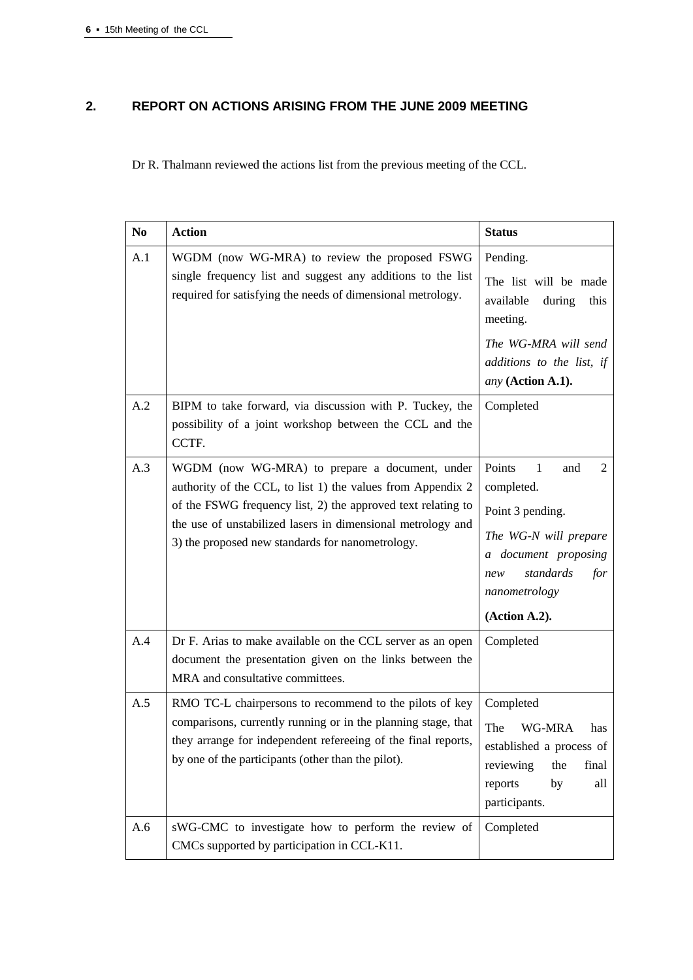# **2. REPORT ON ACTIONS ARISING FROM THE JUNE 2009 MEETING**

Dr R. Thalmann reviewed the actions list from the previous meeting of the CCL.

| N <sub>0</sub> | <b>Action</b>                                                                                                                                                                                                                                                                                    | <b>Status</b>                                                                                                                                                           |
|----------------|--------------------------------------------------------------------------------------------------------------------------------------------------------------------------------------------------------------------------------------------------------------------------------------------------|-------------------------------------------------------------------------------------------------------------------------------------------------------------------------|
| A.1            | WGDM (now WG-MRA) to review the proposed FSWG<br>single frequency list and suggest any additions to the list<br>required for satisfying the needs of dimensional metrology.                                                                                                                      | Pending.<br>The list will be made<br>available<br>during<br>this<br>meeting.<br>The WG-MRA will send<br>additions to the list, if<br>any (Action A.1).                  |
| A.2            | BIPM to take forward, via discussion with P. Tuckey, the<br>possibility of a joint workshop between the CCL and the<br>CCTF.                                                                                                                                                                     | Completed                                                                                                                                                               |
| A.3            | WGDM (now WG-MRA) to prepare a document, under<br>authority of the CCL, to list 1) the values from Appendix 2<br>of the FSWG frequency list, 2) the approved text relating to<br>the use of unstabilized lasers in dimensional metrology and<br>3) the proposed new standards for nanometrology. | Points<br>1<br>2<br>and<br>completed.<br>Point 3 pending.<br>The WG-N will prepare<br>a document proposing<br>standards<br>for<br>new<br>nanometrology<br>(Action A.2). |
| A.4            | Dr F. Arias to make available on the CCL server as an open<br>document the presentation given on the links between the<br>MRA and consultative committees.                                                                                                                                       | Completed                                                                                                                                                               |
| A.5            | RMO TC-L chairpersons to recommend to the pilots of key<br>comparisons, currently running or in the planning stage, that<br>they arrange for independent refereeing of the final reports,<br>by one of the participants (other than the pilot).                                                  | Completed<br>The<br>WG-MRA<br>has<br>established a process of<br>reviewing<br>final<br>the<br>reports<br>by<br>all<br>participants.                                     |
| A.6            | sWG-CMC to investigate how to perform the review of<br>CMCs supported by participation in CCL-K11.                                                                                                                                                                                               | Completed                                                                                                                                                               |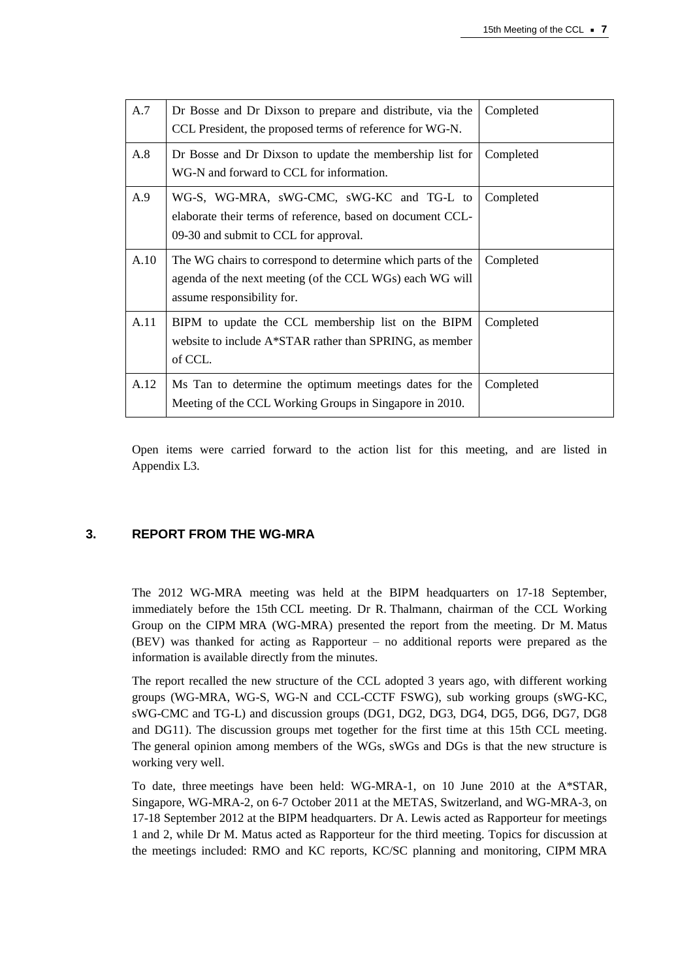| A.7  | Dr Bosse and Dr Dixson to prepare and distribute, via the<br>CCL President, the proposed terms of reference for WG-N.                                 | Completed |
|------|-------------------------------------------------------------------------------------------------------------------------------------------------------|-----------|
| A.8  | Dr Bosse and Dr Dixson to update the membership list for<br>WG-N and forward to CCL for information.                                                  | Completed |
| A.9  | WG-S, WG-MRA, sWG-CMC, sWG-KC and TG-L to<br>elaborate their terms of reference, based on document CCL-<br>09-30 and submit to CCL for approval.      | Completed |
| A.10 | The WG chairs to correspond to determine which parts of the<br>agenda of the next meeting (of the CCL WGs) each WG will<br>assume responsibility for. | Completed |
| A.11 | BIPM to update the CCL membership list on the BIPM<br>website to include A*STAR rather than SPRING, as member<br>of CCL.                              | Completed |
| A.12 | Ms Tan to determine the optimum meetings dates for the<br>Meeting of the CCL Working Groups in Singapore in 2010.                                     | Completed |

Open items were carried forward to the action list for this meeting, and are listed in Appendix L3.

# **3. REPORT FROM THE WG-MRA**

The 2012 WG-MRA meeting was held at the BIPM headquarters on 17-18 September, immediately before the 15th CCL meeting. Dr R. Thalmann, chairman of the CCL Working Group on the CIPM MRA (WG-MRA) presented the report from the meeting. Dr M. Matus (BEV) was thanked for acting as Rapporteur – no additional reports were prepared as the information is available directly from the minutes.

The report recalled the new structure of the CCL adopted 3 years ago, with different working groups (WG-MRA, WG-S, WG-N and CCL-CCTF FSWG), sub working groups (sWG-KC, sWG-CMC and TG-L) and discussion groups (DG1, DG2, DG3, DG4, DG5, DG6, DG7, DG8 and DG11). The discussion groups met together for the first time at this 15th CCL meeting. The general opinion among members of the WGs, sWGs and DGs is that the new structure is working very well.

To date, three meetings have been held: WG-MRA-1, on 10 June 2010 at the A\*STAR, Singapore, WG-MRA-2, on 6-7 October 2011 at the METAS, Switzerland, and WG-MRA-3, on 17-18 September 2012 at the BIPM headquarters. Dr A. Lewis acted as Rapporteur for meetings 1 and 2, while Dr M. Matus acted as Rapporteur for the third meeting. Topics for discussion at the meetings included: RMO and KC reports, KC/SC planning and monitoring, CIPM MRA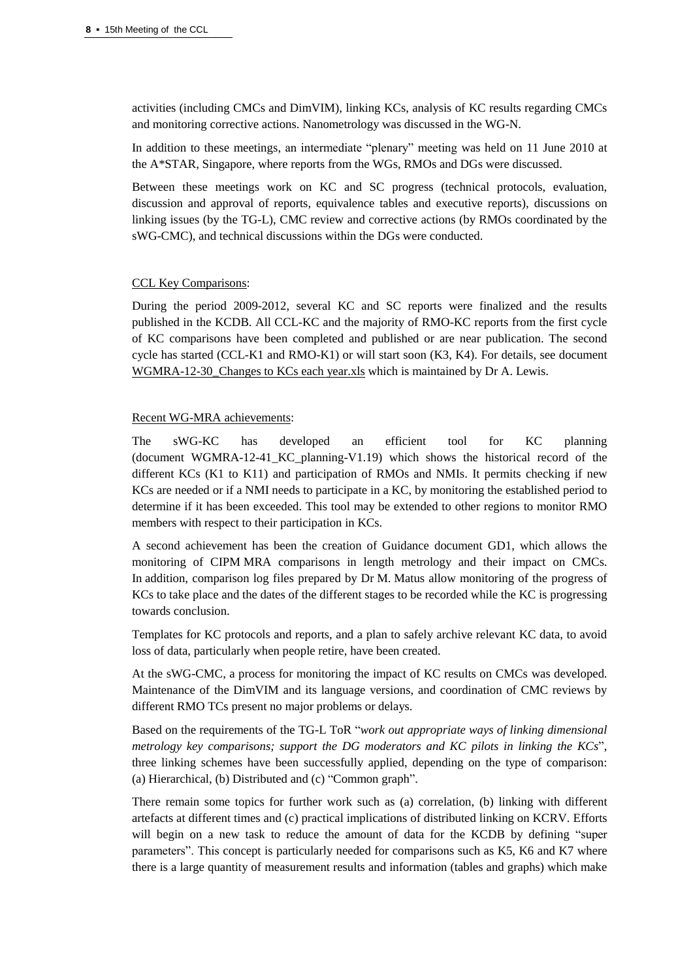activities (including CMCs and DimVIM), linking KCs, analysis of KC results regarding CMCs and monitoring corrective actions. Nanometrology was discussed in the WG-N.

In addition to these meetings, an intermediate "plenary" meeting was held on 11 June 2010 at the A\*STAR, Singapore, where reports from the WGs, RMOs and DGs were discussed.

Between these meetings work on KC and SC progress (technical protocols, evaluation, discussion and approval of reports, equivalence tables and executive reports), discussions on linking issues (by the TG-L), CMC review and corrective actions (by RMOs coordinated by the sWG-CMC), and technical discussions within the DGs were conducted.

# CCL Key Comparisons:

During the period 2009-2012, several KC and SC reports were finalized and the results published in the KCDB. All CCL-KC and the majority of RMO-KC reports from the first cycle of KC comparisons have been completed and published or are near publication. The second cycle has started (CCL-K1 and RMO-K1) or will start soon (K3, K4). For details, see document WGMRA-12-30\_Changes to KCs each year.xls which is maintained by Dr A. Lewis.

## Recent WG-MRA achievements:

The sWG-KC has developed an efficient tool for KC planning (document WGMRA-12-41\_KC\_planning-V1.19) which shows the historical record of the different KCs (K1 to K11) and participation of RMOs and NMIs. It permits checking if new KCs are needed or if a NMI needs to participate in a KC, by monitoring the established period to determine if it has been exceeded. This tool may be extended to other regions to monitor RMO members with respect to their participation in KCs.

A second achievement has been the creation of Guidance document GD1, which allows the monitoring of CIPM MRA comparisons in length metrology and their impact on CMCs. In addition, comparison log files prepared by Dr M. Matus allow monitoring of the progress of KCs to take place and the dates of the different stages to be recorded while the KC is progressing towards conclusion.

Templates for KC protocols and reports, and a plan to safely archive relevant KC data, to avoid loss of data, particularly when people retire, have been created.

At the sWG-CMC, a process for monitoring the impact of KC results on CMCs was developed. Maintenance of the DimVIM and its language versions, and coordination of CMC reviews by different RMO TCs present no major problems or delays.

Based on the requirements of the TG-L ToR "*work out appropriate ways of linking dimensional metrology key comparisons; support the DG moderators and KC pilots in linking the KCs*", three linking schemes have been successfully applied, depending on the type of comparison: (a) Hierarchical, (b) Distributed and (c) "Common graph".

There remain some topics for further work such as (a) correlation, (b) linking with different artefacts at different times and (c) practical implications of distributed linking on KCRV. Efforts will begin on a new task to reduce the amount of data for the KCDB by defining "super parameters". This concept is particularly needed for comparisons such as K5, K6 and K7 where there is a large quantity of measurement results and information (tables and graphs) which make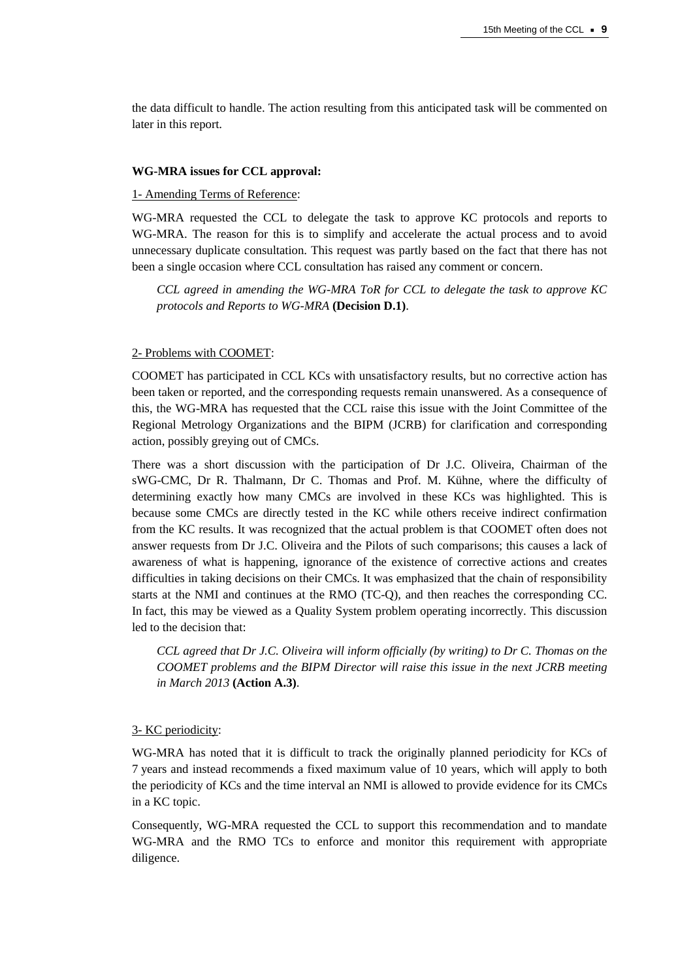the data difficult to handle. The action resulting from this anticipated task will be commented on later in this report.

#### **WG-MRA issues for CCL approval:**

# 1- Amending Terms of Reference:

WG-MRA requested the CCL to delegate the task to approve KC protocols and reports to WG-MRA. The reason for this is to simplify and accelerate the actual process and to avoid unnecessary duplicate consultation. This request was partly based on the fact that there has not been a single occasion where CCL consultation has raised any comment or concern.

*CCL agreed in amending the WG-MRA ToR for CCL to delegate the task to approve KC protocols and Reports to WG-MRA* **(Decision D.1)**.

#### 2- Problems with COOMET:

COOMET has participated in CCL KCs with unsatisfactory results, but no corrective action has been taken or reported, and the corresponding requests remain unanswered. As a consequence of this, the WG-MRA has requested that the CCL raise this issue with the Joint Committee of the Regional Metrology Organizations and the BIPM (JCRB) for clarification and corresponding action, possibly greying out of CMCs.

There was a short discussion with the participation of Dr J.C. Oliveira, Chairman of the sWG-CMC, Dr R. Thalmann, Dr C. Thomas and Prof. M. Kühne, where the difficulty of determining exactly how many CMCs are involved in these KCs was highlighted. This is because some CMCs are directly tested in the KC while others receive indirect confirmation from the KC results. It was recognized that the actual problem is that COOMET often does not answer requests from Dr J.C. Oliveira and the Pilots of such comparisons; this causes a lack of awareness of what is happening, ignorance of the existence of corrective actions and creates difficulties in taking decisions on their CMCs. It was emphasized that the chain of responsibility starts at the NMI and continues at the RMO (TC-Q), and then reaches the corresponding CC. In fact, this may be viewed as a Quality System problem operating incorrectly. This discussion led to the decision that:

*CCL agreed that Dr J.C. Oliveira will inform officially (by writing) to Dr C. Thomas on the COOMET problems and the BIPM Director will raise this issue in the next JCRB meeting in March 2013* **(Action A.3)**.

#### 3- KC periodicity:

WG-MRA has noted that it is difficult to track the originally planned periodicity for KCs of 7 years and instead recommends a fixed maximum value of 10 years, which will apply to both the periodicity of KCs and the time interval an NMI is allowed to provide evidence for its CMCs in a KC topic.

Consequently, WG-MRA requested the CCL to support this recommendation and to mandate WG-MRA and the RMO TCs to enforce and monitor this requirement with appropriate diligence.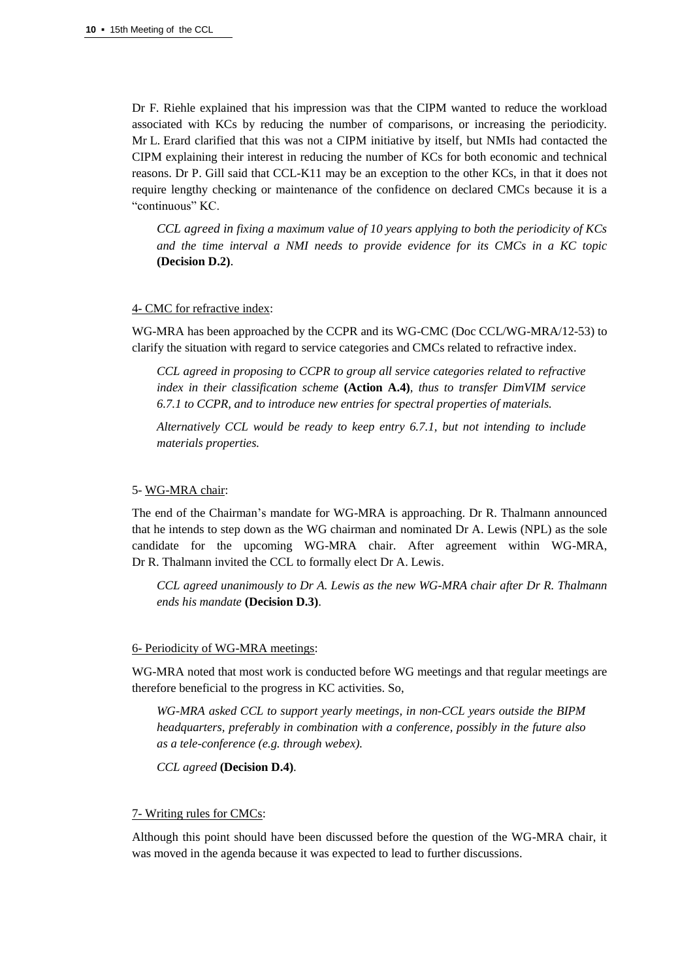Dr F. Riehle explained that his impression was that the CIPM wanted to reduce the workload associated with KCs by reducing the number of comparisons, or increasing the periodicity. Mr L. Erard clarified that this was not a CIPM initiative by itself, but NMIs had contacted the CIPM explaining their interest in reducing the number of KCs for both economic and technical reasons. Dr P. Gill said that CCL-K11 may be an exception to the other KCs, in that it does not require lengthy checking or maintenance of the confidence on declared CMCs because it is a "continuous" KC.

*CCL agreed in fixing a maximum value of 10 years applying to both the periodicity of KCs and the time interval a NMI needs to provide evidence for its CMCs in a KC topic* **(Decision D.2)**.

# 4- CMC for refractive index:

WG-MRA has been approached by the CCPR and its WG-CMC (Doc CCL/WG-MRA/12-53) to clarify the situation with regard to service categories and CMCs related to refractive index.

*CCL agreed in proposing to CCPR to group all service categories related to refractive index in their classification scheme* **(Action A.4)***, thus to transfer DimVIM service 6.7.1 to CCPR, and to introduce new entries for spectral properties of materials.*

*Alternatively CCL would be ready to keep entry 6.7.1, but not intending to include materials properties.*

## 5- WG-MRA chair:

The end of the Chairman's mandate for WG-MRA is approaching. Dr R. Thalmann announced that he intends to step down as the WG chairman and nominated Dr A. Lewis (NPL) as the sole candidate for the upcoming WG-MRA chair. After agreement within WG-MRA, Dr R. Thalmann invited the CCL to formally elect Dr A. Lewis.

*CCL agreed unanimously to Dr A. Lewis as the new WG-MRA chair after Dr R. Thalmann ends his mandate* **(Decision D.3)**.

## 6- Periodicity of WG-MRA meetings:

WG-MRA noted that most work is conducted before WG meetings and that regular meetings are therefore beneficial to the progress in KC activities. So,

*WG-MRA asked CCL to support yearly meetings, in non-CCL years outside the BIPM headquarters, preferably in combination with a conference, possibly in the future also as a tele-conference (e.g. through webex).*

*CCL agreed* **(Decision D.4)**.

## 7- Writing rules for CMCs:

Although this point should have been discussed before the question of the WG-MRA chair, it was moved in the agenda because it was expected to lead to further discussions.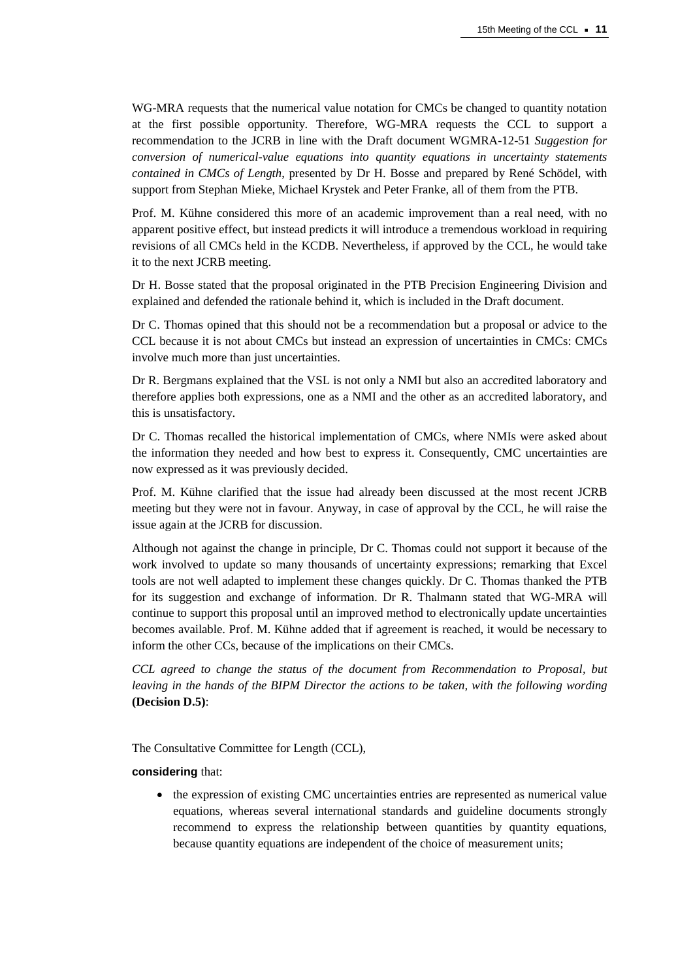WG-MRA requests that the numerical value notation for CMCs be changed to quantity notation at the first possible opportunity. Therefore, WG-MRA requests the CCL to support a recommendation to the JCRB in line with the Draft document WGMRA-12-51 *Suggestion for conversion of numerical-value equations into quantity equations in uncertainty statements contained in CMCs of Length*, presented by Dr H. Bosse and prepared by René Schödel, with support from Stephan Mieke, Michael Krystek and Peter Franke, all of them from the PTB.

Prof. M. Kühne considered this more of an academic improvement than a real need, with no apparent positive effect, but instead predicts it will introduce a tremendous workload in requiring revisions of all CMCs held in the KCDB. Nevertheless, if approved by the CCL, he would take it to the next JCRB meeting.

Dr H. Bosse stated that the proposal originated in the PTB Precision Engineering Division and explained and defended the rationale behind it, which is included in the Draft document.

Dr C. Thomas opined that this should not be a recommendation but a proposal or advice to the CCL because it is not about CMCs but instead an expression of uncertainties in CMCs: CMCs involve much more than just uncertainties.

Dr R. Bergmans explained that the VSL is not only a NMI but also an accredited laboratory and therefore applies both expressions, one as a NMI and the other as an accredited laboratory, and this is unsatisfactory.

Dr C. Thomas recalled the historical implementation of CMCs, where NMIs were asked about the information they needed and how best to express it. Consequently, CMC uncertainties are now expressed as it was previously decided.

Prof. M. Kühne clarified that the issue had already been discussed at the most recent JCRB meeting but they were not in favour. Anyway, in case of approval by the CCL, he will raise the issue again at the JCRB for discussion.

Although not against the change in principle, Dr C. Thomas could not support it because of the work involved to update so many thousands of uncertainty expressions; remarking that Excel tools are not well adapted to implement these changes quickly. Dr C. Thomas thanked the PTB for its suggestion and exchange of information. Dr R. Thalmann stated that WG-MRA will continue to support this proposal until an improved method to electronically update uncertainties becomes available. Prof. M. Kühne added that if agreement is reached, it would be necessary to inform the other CCs, because of the implications on their CMCs.

*CCL agreed to change the status of the document from Recommendation to Proposal, but leaving in the hands of the BIPM Director the actions to be taken, with the following wording* **(Decision D.5)**:

The Consultative Committee for Length (CCL),

## **considering** that:

 the expression of existing CMC uncertainties entries are represented as numerical value equations, whereas several international standards and guideline documents strongly recommend to express the relationship between quantities by quantity equations, because quantity equations are independent of the choice of measurement units;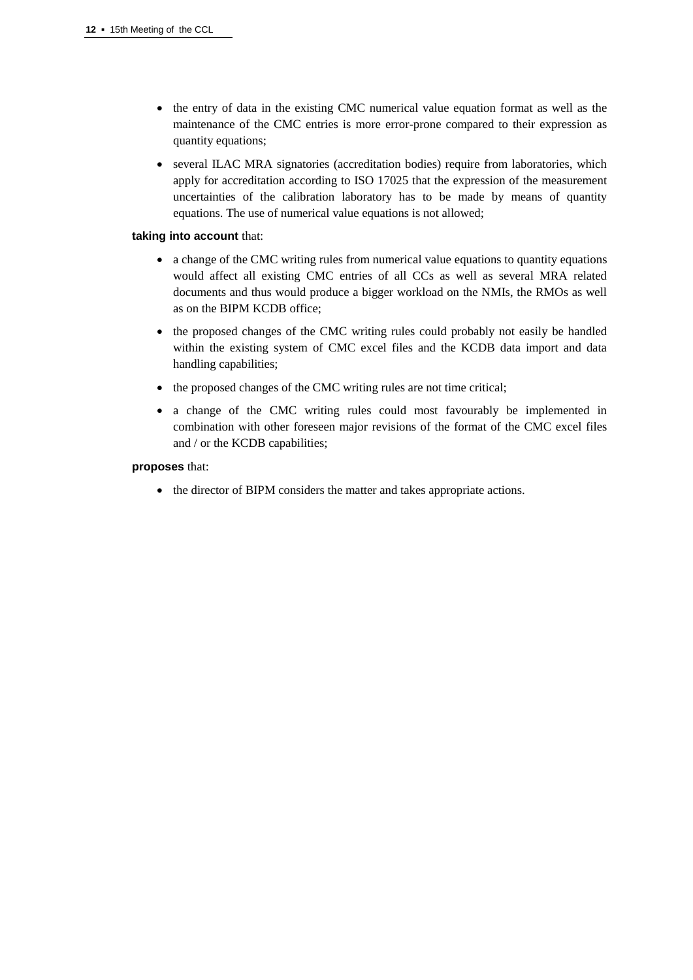- the entry of data in the existing CMC numerical value equation format as well as the maintenance of the CMC entries is more error-prone compared to their expression as quantity equations;
- several ILAC MRA signatories (accreditation bodies) require from laboratories, which apply for accreditation according to ISO 17025 that the expression of the measurement uncertainties of the calibration laboratory has to be made by means of quantity equations. The use of numerical value equations is not allowed;

# **taking into account** that:

- a change of the CMC writing rules from numerical value equations to quantity equations would affect all existing CMC entries of all CCs as well as several MRA related documents and thus would produce a bigger workload on the NMIs, the RMOs as well as on the BIPM KCDB office;
- the proposed changes of the CMC writing rules could probably not easily be handled within the existing system of CMC excel files and the KCDB data import and data handling capabilities;
- the proposed changes of the CMC writing rules are not time critical;
- a change of the CMC writing rules could most favourably be implemented in combination with other foreseen major revisions of the format of the CMC excel files and / or the KCDB capabilities;

# **proposes** that:

• the director of BIPM considers the matter and takes appropriate actions.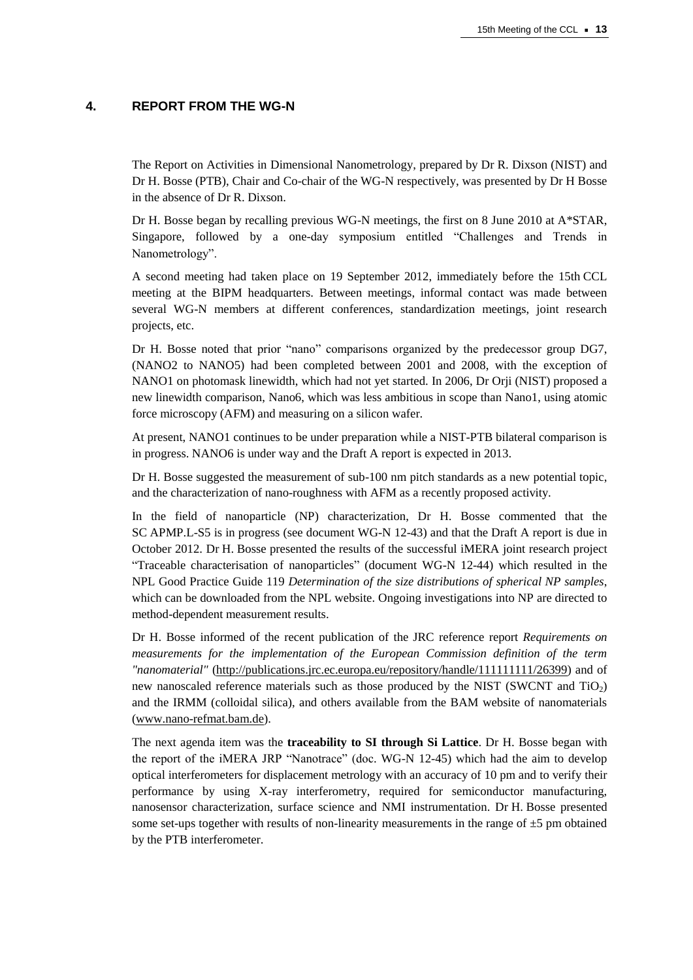# **4. REPORT FROM THE WG-N**

The Report on Activities in Dimensional Nanometrology, prepared by Dr R. Dixson (NIST) and Dr H. Bosse (PTB), Chair and Co-chair of the WG-N respectively, was presented by Dr H Bosse in the absence of Dr R. Dixson.

Dr H. Bosse began by recalling previous WG-N meetings, the first on 8 June 2010 at A\*STAR, Singapore, followed by a one-day symposium entitled "Challenges and Trends in Nanometrology".

A second meeting had taken place on 19 September 2012, immediately before the 15th CCL meeting at the BIPM headquarters. Between meetings, informal contact was made between several WG-N members at different conferences, standardization meetings, joint research projects, etc.

Dr H. Bosse noted that prior "nano" comparisons organized by the predecessor group DG7, (NANO2 to NANO5) had been completed between 2001 and 2008, with the exception of NANO1 on photomask linewidth, which had not yet started. In 2006, Dr Orji (NIST) proposed a new linewidth comparison, Nano6, which was less ambitious in scope than Nano1, using atomic force microscopy (AFM) and measuring on a silicon wafer.

At present, NANO1 continues to be under preparation while a NIST-PTB bilateral comparison is in progress. NANO6 is under way and the Draft A report is expected in 2013.

Dr H. Bosse suggested the measurement of sub-100 nm pitch standards as a new potential topic, and the characterization of nano-roughness with AFM as a recently proposed activity.

In the field of nanoparticle (NP) characterization, Dr H. Bosse commented that the SC APMP.L-S5 is in progress (see document WG-N 12-43) and that the Draft A report is due in October 2012. Dr H. Bosse presented the results of the successful iMERA joint research project "Traceable characterisation of nanoparticles" (document WG-N 12-44) which resulted in the NPL Good Practice Guide 119 *Determination of the size distributions of spherical NP samples*, which can be downloaded from the NPL website. Ongoing investigations into NP are directed to method-dependent measurement results.

Dr H. Bosse informed of the recent publication of the JRC reference report *Requirements on measurements for the implementation of the European Commission definition of the term "nanomaterial"* [\(http://publications.jrc.ec.europa.eu/repository/handle/111111111/26399\)](http://publications.jrc.ec.europa.eu/repository/handle/111111111/26399) and of new nanoscaled reference materials such as those produced by the NIST (SWCNT and  $TiO<sub>2</sub>$ ) and the IRMM (colloidal silica), and others available from the BAM website of nanomaterials [\(www.nano-refmat.bam.de\)](http://www.nano-refmat.bam.de/).

The next agenda item was the **traceability to SI through Si Lattice**. Dr H. Bosse began with the report of the iMERA JRP "Nanotrace" (doc. WG-N 12-45) which had the aim to develop optical interferometers for displacement metrology with an accuracy of 10 pm and to verify their performance by using X-ray interferometry, required for semiconductor manufacturing, nanosensor characterization, surface science and NMI instrumentation. Dr H. Bosse presented some set-ups together with results of non-linearity measurements in the range of  $\pm 5$  pm obtained by the PTB interferometer.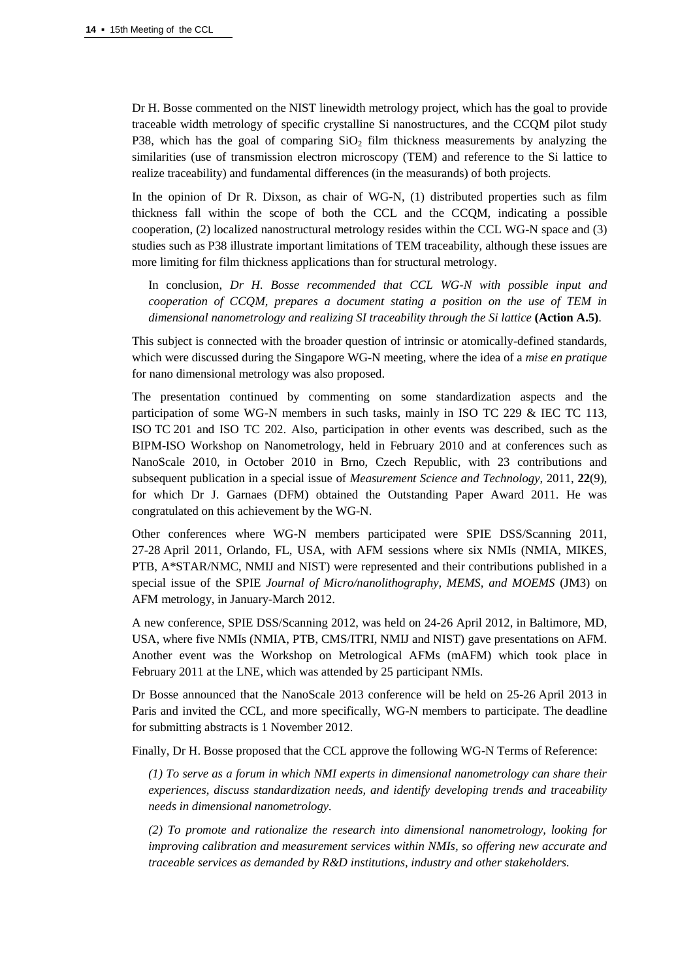Dr H. Bosse commented on the NIST linewidth metrology project, which has the goal to provide traceable width metrology of specific crystalline Si nanostructures, and the CCQM pilot study P38, which has the goal of comparing  $SiO<sub>2</sub>$  film thickness measurements by analyzing the similarities (use of transmission electron microscopy (TEM) and reference to the Si lattice to realize traceability) and fundamental differences (in the measurands) of both projects.

In the opinion of Dr R. Dixson, as chair of WG-N, (1) distributed properties such as film thickness fall within the scope of both the CCL and the CCQM, indicating a possible cooperation, (2) localized nanostructural metrology resides within the CCL WG-N space and (3) studies such as P38 illustrate important limitations of TEM traceability, although these issues are more limiting for film thickness applications than for structural metrology.

In conclusion, *Dr H. Bosse recommended that CCL WG-N with possible input and cooperation of CCQM, prepares a document stating a position on the use of TEM in dimensional nanometrology and realizing SI traceability through the Si lattice* **(Action A.5)**.

This subject is connected with the broader question of intrinsic or atomically-defined standards, which were discussed during the Singapore WG-N meeting, where the idea of a *mise en pratique* for nano dimensional metrology was also proposed.

The presentation continued by commenting on some standardization aspects and the participation of some WG-N members in such tasks, mainly in ISO TC 229 & IEC TC 113, ISO TC 201 and ISO TC 202. Also, participation in other events was described, such as the BIPM-ISO Workshop on Nanometrology, held in February 2010 and at conferences such as NanoScale 2010, in October 2010 in Brno, Czech Republic, with 23 contributions and subsequent publication in a special issue of *Measurement Science and Technology*, 2011, **22**(9), for which Dr J. Garnaes (DFM) obtained the Outstanding Paper Award 2011. He was congratulated on this achievement by the WG-N.

Other conferences where WG-N members participated were SPIE DSS/Scanning 2011, 27-28 April 2011, Orlando, FL, USA, with AFM sessions where six NMIs (NMIA, MIKES, PTB, A\*STAR/NMC, NMIJ and NIST) were represented and their contributions published in a special issue of the SPIE *Journal of Micro/nanolithography, MEMS, and MOEMS* (JM3) on AFM metrology, in January-March 2012.

A new conference, SPIE DSS/Scanning 2012, was held on 24-26 April 2012, in Baltimore, MD, USA, where five NMIs (NMIA, PTB, CMS/ITRI, NMIJ and NIST) gave presentations on AFM. Another event was the Workshop on Metrological AFMs (mAFM) which took place in February 2011 at the LNE, which was attended by 25 participant NMIs.

Dr Bosse announced that the NanoScale 2013 conference will be held on 25-26 April 2013 in Paris and invited the CCL, and more specifically, WG-N members to participate. The deadline for submitting abstracts is 1 November 2012.

Finally, Dr H. Bosse proposed that the CCL approve the following WG-N Terms of Reference:

*(1) To serve as a forum in which NMI experts in dimensional nanometrology can share their experiences, discuss standardization needs, and identify developing trends and traceability needs in dimensional nanometrology.* 

*(2) To promote and rationalize the research into dimensional nanometrology, looking for improving calibration and measurement services within NMIs, so offering new accurate and traceable services as demanded by R&D institutions, industry and other stakeholders.*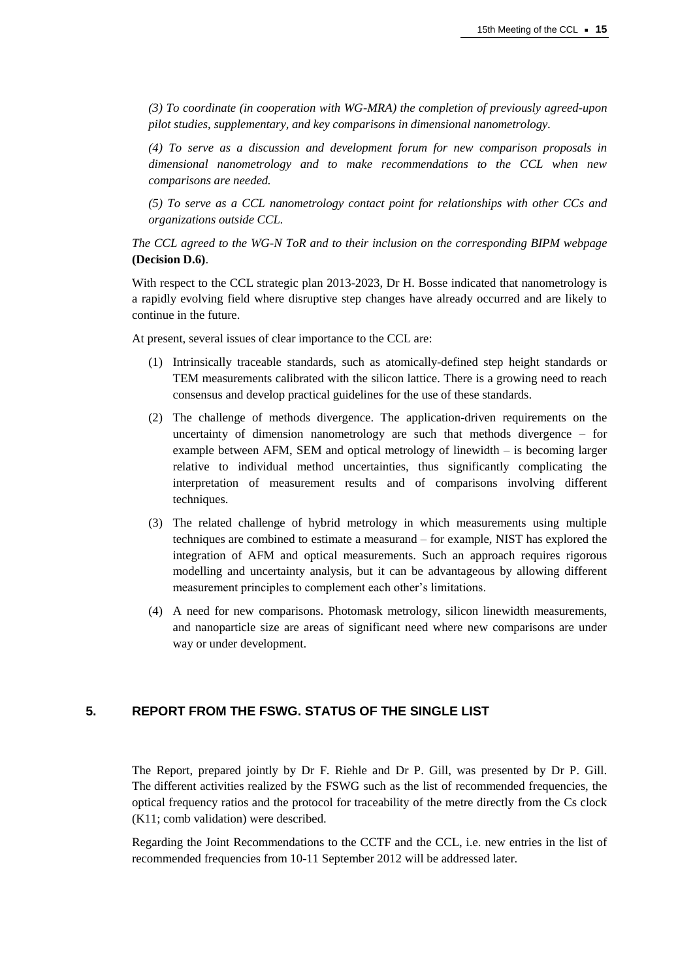*(3) To coordinate (in cooperation with WG-MRA) the completion of previously agreed-upon pilot studies, supplementary, and key comparisons in dimensional nanometrology.*

*(4) To serve as a discussion and development forum for new comparison proposals in dimensional nanometrology and to make recommendations to the CCL when new comparisons are needed.*

*(5) To serve as a CCL nanometrology contact point for relationships with other CCs and organizations outside CCL.*

*The CCL agreed to the WG-N ToR and to their inclusion on the corresponding BIPM webpage* **(Decision D.6)**.

With respect to the CCL strategic plan 2013-2023, Dr H. Bosse indicated that nanometrology is a rapidly evolving field where disruptive step changes have already occurred and are likely to continue in the future.

At present, several issues of clear importance to the CCL are:

- (1) Intrinsically traceable standards, such as atomically-defined step height standards or TEM measurements calibrated with the silicon lattice. There is a growing need to reach consensus and develop practical guidelines for the use of these standards.
- (2) The challenge of methods divergence. The application-driven requirements on the uncertainty of dimension nanometrology are such that methods divergence – for example between AFM, SEM and optical metrology of linewidth – is becoming larger relative to individual method uncertainties, thus significantly complicating the interpretation of measurement results and of comparisons involving different techniques.
- (3) The related challenge of hybrid metrology in which measurements using multiple techniques are combined to estimate a measurand – for example, NIST has explored the integration of AFM and optical measurements. Such an approach requires rigorous modelling and uncertainty analysis, but it can be advantageous by allowing different measurement principles to complement each other's limitations.
- (4) A need for new comparisons. Photomask metrology, silicon linewidth measurements, and nanoparticle size are areas of significant need where new comparisons are under way or under development.

# **5. REPORT FROM THE FSWG. STATUS OF THE SINGLE LIST**

The Report, prepared jointly by Dr F. Riehle and Dr P. Gill, was presented by Dr P. Gill. The different activities realized by the FSWG such as the list of recommended frequencies, the optical frequency ratios and the protocol for traceability of the metre directly from the Cs clock (K11; comb validation) were described.

Regarding the Joint Recommendations to the CCTF and the CCL, i.e. new entries in the list of recommended frequencies from 10-11 September 2012 will be addressed later.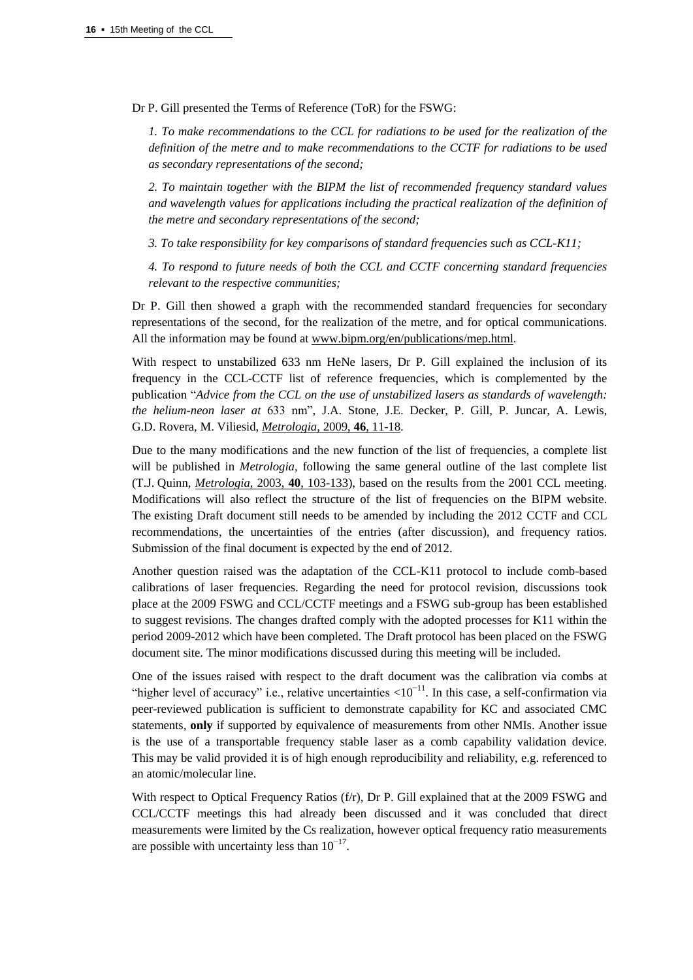Dr P. Gill presented the Terms of Reference (ToR) for the FSWG:

*1. To make recommendations to the CCL for radiations to be used for the realization of the definition of the metre and to make recommendations to the CCTF for radiations to be used as secondary representations of the second;*

*2. To maintain together with the BIPM the list of recommended frequency standard values and wavelength values for applications including the practical realization of the definition of the metre and secondary representations of the second;*

*3. To take responsibility for key comparisons of standard frequencies such as CCL-K11;*

*4. To respond to future needs of both the CCL and CCTF concerning standard frequencies relevant to the respective communities;*

Dr P. Gill then showed a graph with the recommended standard frequencies for secondary representations of the second, for the realization of the metre, and for optical communications. All the information may be found a[t www.bipm.org/en/publications/mep.html.](https://www.bipm.org/en/publications/mep.html)

With respect to unstabilized 633 nm HeNe lasers, Dr P. Gill explained the inclusion of its frequency in the CCL-CCTF list of reference frequencies, which is complemented by the publication "*Advice from the CCL on the use of unstabilized lasers as standards of wavelength: the helium-neon laser at* 633 nm", J.A. Stone, J.E. Decker, P. Gill, P. Juncar, A. Lewis, G.D. Rovera, M. Viliesid, *[Metrologia](http://stacks.iop.org/0026-1394/46/11)*, 2009, **46**, 11-18.

Due to the many modifications and the new function of the list of frequencies, a complete list will be published in *Metrologia*, following the same general outline of the last complete list (T.J. Quinn, *[Metrologia](http://stacks.iop.org/0026-1394/40/103)*, 2003, **40**, 103-133), based on the results from the 2001 CCL meeting. Modifications will also reflect the structure of the list of frequencies on the BIPM website. The existing Draft document still needs to be amended by including the 2012 CCTF and CCL recommendations, the uncertainties of the entries (after discussion), and frequency ratios. Submission of the final document is expected by the end of 2012.

Another question raised was the adaptation of the CCL-K11 protocol to include comb-based calibrations of laser frequencies. Regarding the need for protocol revision, discussions took place at the 2009 FSWG and CCL/CCTF meetings and a FSWG sub-group has been established to suggest revisions. The changes drafted comply with the adopted processes for K11 within the period 2009-2012 which have been completed. The Draft protocol has been placed on the FSWG document site. The minor modifications discussed during this meeting will be included.

One of the issues raised with respect to the draft document was the calibration via combs at "higher level of accuracy" i.e., relative uncertainties  $\langle 10^{-11}$ . In this case, a self-confirmation via peer-reviewed publication is sufficient to demonstrate capability for KC and associated CMC statements, **only** if supported by equivalence of measurements from other NMIs. Another issue is the use of a transportable frequency stable laser as a comb capability validation device. This may be valid provided it is of high enough reproducibility and reliability, e.g. referenced to an atomic/molecular line.

With respect to Optical Frequency Ratios (f/r), Dr P. Gill explained that at the 2009 FSWG and CCL/CCTF meetings this had already been discussed and it was concluded that direct measurements were limited by the Cs realization, however optical frequency ratio measurements are possible with uncertainty less than  $10^{-17}$ .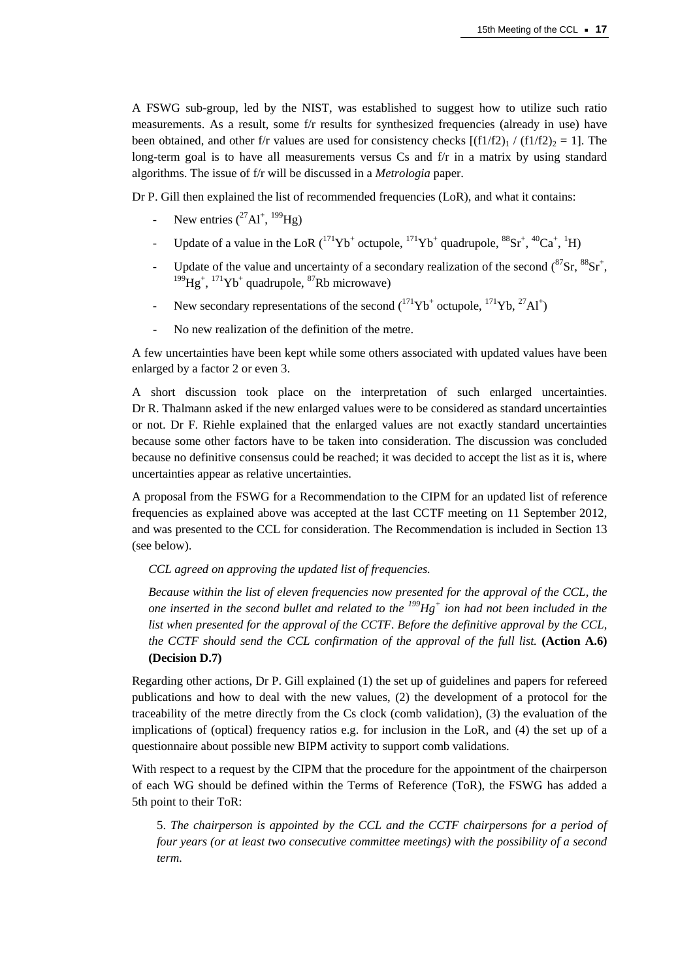A FSWG sub-group, led by the NIST, was established to suggest how to utilize such ratio measurements. As a result, some f/r results for synthesized frequencies (already in use) have been obtained, and other f/r values are used for consistency checks  $[(f1/f2)_1 / (f1/f2)_2 = 1]$ . The long-term goal is to have all measurements versus Cs and f/r in a matrix by using standard algorithms. The issue of f/r will be discussed in a *Metrologia* paper.

Dr P. Gill then explained the list of recommended frequencies (LoR), and what it contains:

- New entries  $(^{27}Al^+, ^{199}Hg)$
- Update of a value in the LoR  $({}^{171}Yb^{+}$  octupole,  ${}^{171}Yb^{+}$  quadrupole,  ${}^{88}Sr^{+}$ ,  ${}^{40}Ca^{+}$ ,  ${}^{1}H$ )
- Update of the value and uncertainty of a secondary realization of the second  $(^{87}Sr, ^{88}Sr^{+}$ ,  $^{199}$ Hg<sup>+</sup>,  $^{171}$ Yb<sup>+</sup> quadrupole,  $^{87}$ Rb microwave)
- New secondary representations of the second  $({}^{171}Yb^{+}$  octupole,  ${}^{171}Yb, {}^{27}Al^{+}$
- No new realization of the definition of the metre.

A few uncertainties have been kept while some others associated with updated values have been enlarged by a factor 2 or even 3.

A short discussion took place on the interpretation of such enlarged uncertainties. Dr R. Thalmann asked if the new enlarged values were to be considered as standard uncertainties or not. Dr F. Riehle explained that the enlarged values are not exactly standard uncertainties because some other factors have to be taken into consideration. The discussion was concluded because no definitive consensus could be reached; it was decided to accept the list as it is, where uncertainties appear as relative uncertainties.

A proposal from the FSWG for a Recommendation to the CIPM for an updated list of reference frequencies as explained above was accepted at the last CCTF meeting on 11 September 2012, and was presented to the CCL for consideration. The Recommendation is included in Section 13 (see below).

*CCL agreed on approving the updated list of frequencies.*

*Because within the list of eleven frequencies now presented for the approval of the CCL, the one inserted in the second bullet and related to the <sup>199</sup>Hg<sup>+</sup> ion had not been included in the list when presented for the approval of the CCTF. Before the definitive approval by the CCL, the CCTF should send the CCL confirmation of the approval of the full list.* **(Action A.6) (Decision D.7)**

Regarding other actions, Dr P. Gill explained (1) the set up of guidelines and papers for refereed publications and how to deal with the new values, (2) the development of a protocol for the traceability of the metre directly from the Cs clock (comb validation), (3) the evaluation of the implications of (optical) frequency ratios e.g. for inclusion in the LoR, and (4) the set up of a questionnaire about possible new BIPM activity to support comb validations.

With respect to a request by the CIPM that the procedure for the appointment of the chairperson of each WG should be defined within the Terms of Reference (ToR), the FSWG has added a 5th point to their ToR:

5. *The chairperson is appointed by the CCL and the CCTF chairpersons for a period of four years (or at least two consecutive committee meetings) with the possibility of a second term.*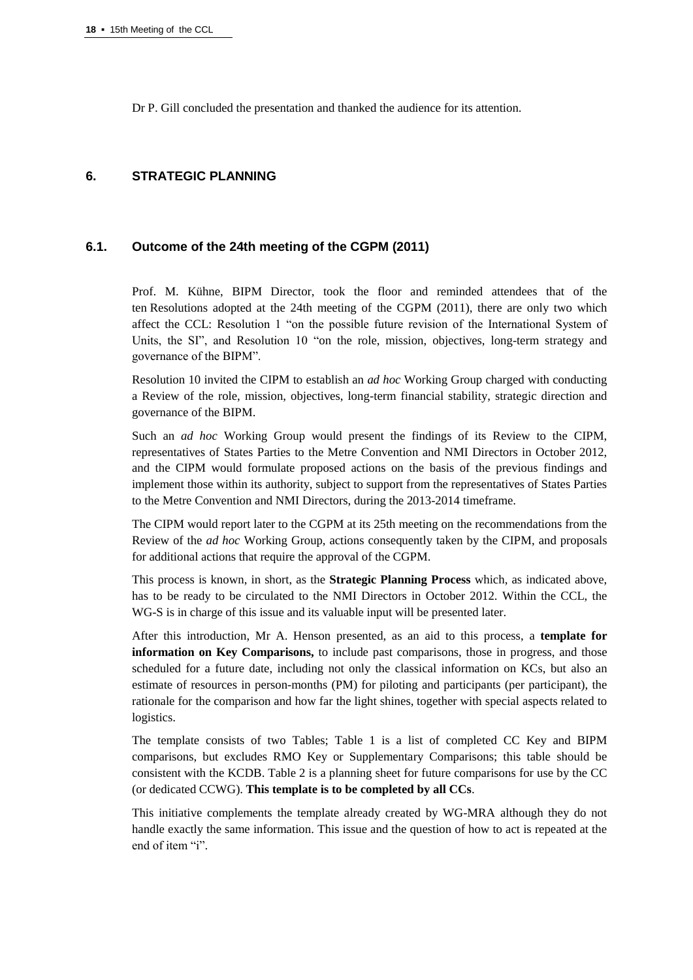Dr P. Gill concluded the presentation and thanked the audience for its attention.

# **6. STRATEGIC PLANNING**

# **6.1. Outcome of the 24th meeting of the CGPM (2011)**

Prof. M. Kühne, BIPM Director, took the floor and reminded attendees that of the ten Resolutions adopted at the 24th meeting of the CGPM (2011), there are only two which affect the CCL: Resolution 1 "on the possible future revision of the International System of Units, the SI", and Resolution 10 "on the role, mission, objectives, long-term strategy and governance of the BIPM".

Resolution 10 invited the CIPM to establish an *ad hoc* Working Group charged with conducting a Review of the role, mission, objectives, long-term financial stability, strategic direction and governance of the BIPM.

Such an *ad hoc* Working Group would present the findings of its Review to the CIPM, representatives of States Parties to the Metre Convention and NMI Directors in October 2012, and the CIPM would formulate proposed actions on the basis of the previous findings and implement those within its authority, subject to support from the representatives of States Parties to the Metre Convention and NMI Directors, during the 2013-2014 timeframe.

The CIPM would report later to the CGPM at its 25th meeting on the recommendations from the Review of the *ad hoc* Working Group, actions consequently taken by the CIPM, and proposals for additional actions that require the approval of the CGPM.

This process is known, in short, as the **Strategic Planning Process** which, as indicated above, has to be ready to be circulated to the NMI Directors in October 2012. Within the CCL, the WG-S is in charge of this issue and its valuable input will be presented later.

After this introduction, Mr A. Henson presented, as an aid to this process, a **template for information on Key Comparisons,** to include past comparisons, those in progress, and those scheduled for a future date, including not only the classical information on KCs, but also an estimate of resources in person-months (PM) for piloting and participants (per participant), the rationale for the comparison and how far the light shines, together with special aspects related to logistics.

The template consists of two Tables; Table 1 is a list of completed CC Key and BIPM comparisons, but excludes RMO Key or Supplementary Comparisons; this table should be consistent with the KCDB. Table 2 is a planning sheet for future comparisons for use by the CC (or dedicated CCWG). **This template is to be completed by all CCs**.

This initiative complements the template already created by WG-MRA although they do not handle exactly the same information. This issue and the question of how to act is repeated at the end of item "i".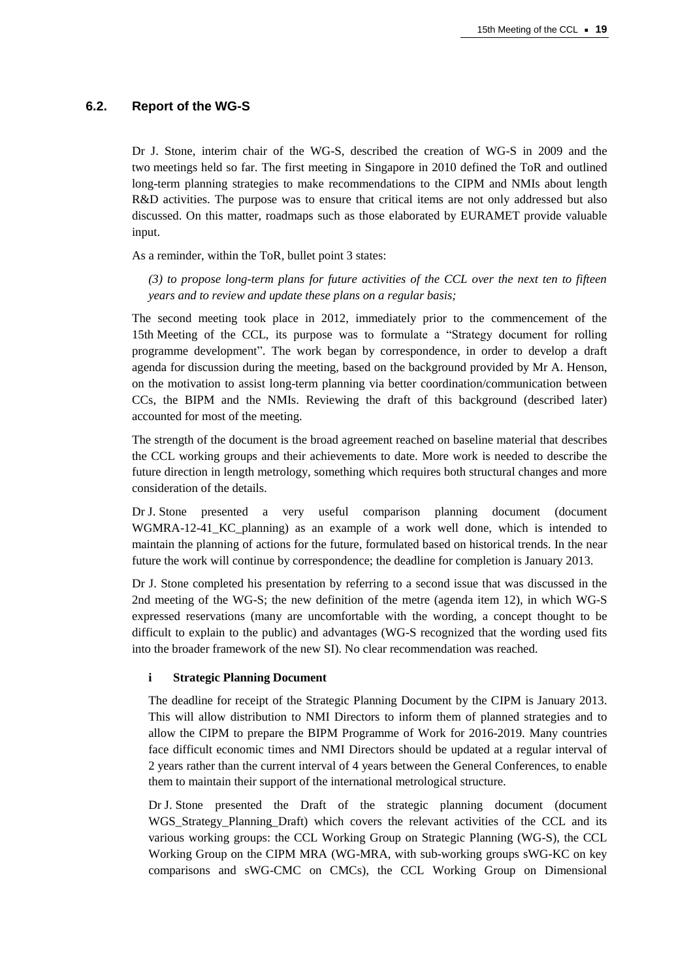## **6.2. Report of the WG-S**

Dr J. Stone, interim chair of the WG-S, described the creation of WG-S in 2009 and the two meetings held so far. The first meeting in Singapore in 2010 defined the ToR and outlined long-term planning strategies to make recommendations to the CIPM and NMIs about length R&D activities. The purpose was to ensure that critical items are not only addressed but also discussed. On this matter, roadmaps such as those elaborated by EURAMET provide valuable input.

As a reminder, within the ToR, bullet point 3 states:

*(3) to propose long-term plans for future activities of the CCL over the next ten to fifteen years and to review and update these plans on a regular basis;*

The second meeting took place in 2012, immediately prior to the commencement of the 15th Meeting of the CCL, its purpose was to formulate a "Strategy document for rolling programme development". The work began by correspondence, in order to develop a draft agenda for discussion during the meeting, based on the background provided by Mr A. Henson, on the motivation to assist long-term planning via better coordination/communication between CCs, the BIPM and the NMIs. Reviewing the draft of this background (described later) accounted for most of the meeting.

The strength of the document is the broad agreement reached on baseline material that describes the CCL working groups and their achievements to date. More work is needed to describe the future direction in length metrology, something which requires both structural changes and more consideration of the details.

Dr J. Stone presented a very useful comparison planning document (document WGMRA-12-41\_KC\_planning) as an example of a work well done, which is intended to maintain the planning of actions for the future, formulated based on historical trends. In the near future the work will continue by correspondence; the deadline for completion is January 2013.

Dr J. Stone completed his presentation by referring to a second issue that was discussed in the 2nd meeting of the WG-S; the new definition of the metre (agenda item 12), in which WG-S expressed reservations (many are uncomfortable with the wording, a concept thought to be difficult to explain to the public) and advantages (WG-S recognized that the wording used fits into the broader framework of the new SI). No clear recommendation was reached.

#### **i Strategic Planning Document**

The deadline for receipt of the Strategic Planning Document by the CIPM is January 2013. This will allow distribution to NMI Directors to inform them of planned strategies and to allow the CIPM to prepare the BIPM Programme of Work for 2016-2019. Many countries face difficult economic times and NMI Directors should be updated at a regular interval of 2 years rather than the current interval of 4 years between the General Conferences, to enable them to maintain their support of the international metrological structure.

Dr J. Stone presented the Draft of the strategic planning document (document WGS Strategy Planning Draft) which covers the relevant activities of the CCL and its various working groups: the CCL Working Group on Strategic Planning (WG-S), the CCL Working Group on the CIPM MRA (WG-MRA, with sub-working groups sWG-KC on key comparisons and sWG-CMC on CMCs), the CCL Working Group on Dimensional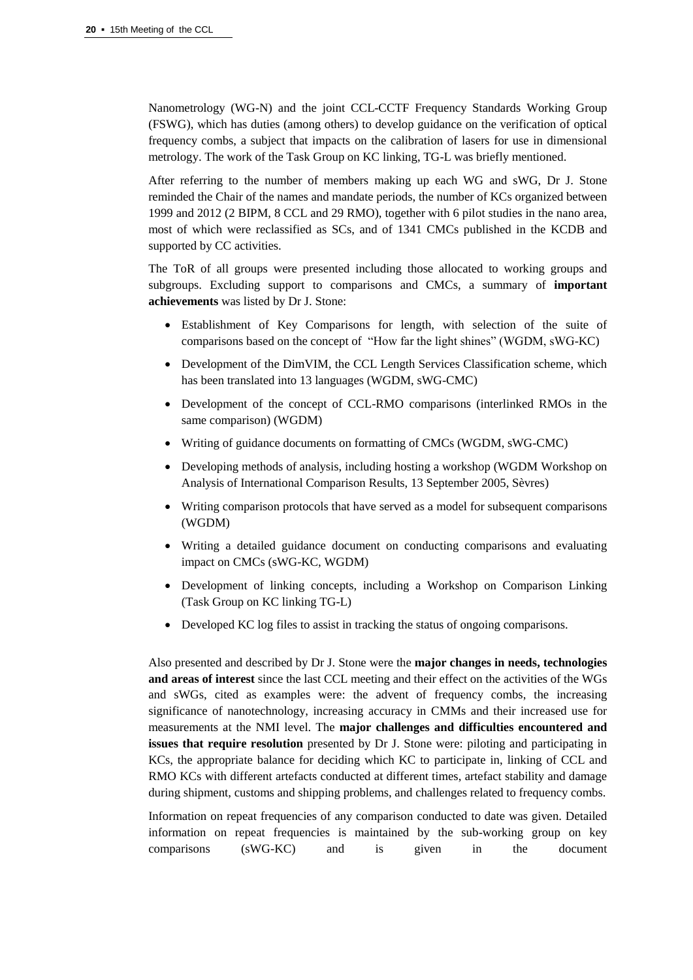Nanometrology (WG-N) and the joint CCL-CCTF Frequency Standards Working Group (FSWG), which has duties (among others) to develop guidance on the verification of optical frequency combs, a subject that impacts on the calibration of lasers for use in dimensional metrology. The work of the Task Group on KC linking, TG-L was briefly mentioned.

After referring to the number of members making up each WG and sWG, Dr J. Stone reminded the Chair of the names and mandate periods, the number of KCs organized between 1999 and 2012 (2 BIPM, 8 CCL and 29 RMO), together with 6 pilot studies in the nano area, most of which were reclassified as SCs, and of 1341 CMCs published in the KCDB and supported by CC activities.

The ToR of all groups were presented including those allocated to working groups and subgroups. Excluding support to comparisons and CMCs, a summary of **important achievements** was listed by Dr J. Stone:

- Establishment of Key Comparisons for length, with selection of the suite of comparisons based on the concept of "How far the light shines" (WGDM, sWG-KC)
- Development of the DimVIM, the CCL Length Services Classification scheme, which has been translated into 13 languages (WGDM, sWG-CMC)
- Development of the concept of CCL-RMO comparisons (interlinked RMOs in the same comparison) (WGDM)
- Writing of guidance documents on formatting of CMCs (WGDM, sWG-CMC)
- Developing methods of analysis, including hosting a workshop (WGDM Workshop on Analysis of International Comparison Results, 13 September 2005, Sèvres)
- Writing comparison protocols that have served as a model for subsequent comparisons (WGDM)
- Writing a detailed guidance document on conducting comparisons and evaluating impact on CMCs (sWG-KC, WGDM)
- Development of linking concepts, including a Workshop on Comparison Linking (Task Group on KC linking TG-L)
- Developed KC log files to assist in tracking the status of ongoing comparisons.

Also presented and described by Dr J. Stone were the **major changes in needs, technologies and areas of interest** since the last CCL meeting and their effect on the activities of the WGs and sWGs, cited as examples were: the advent of frequency combs, the increasing significance of nanotechnology, increasing accuracy in CMMs and their increased use for measurements at the NMI level. The **major challenges and difficulties encountered and issues that require resolution** presented by Dr J. Stone were: piloting and participating in KCs, the appropriate balance for deciding which KC to participate in, linking of CCL and RMO KCs with different artefacts conducted at different times, artefact stability and damage during shipment, customs and shipping problems, and challenges related to frequency combs.

Information on repeat frequencies of any comparison conducted to date was given. Detailed information on repeat frequencies is maintained by the sub-working group on key comparisons (sWG-KC) and is given in the document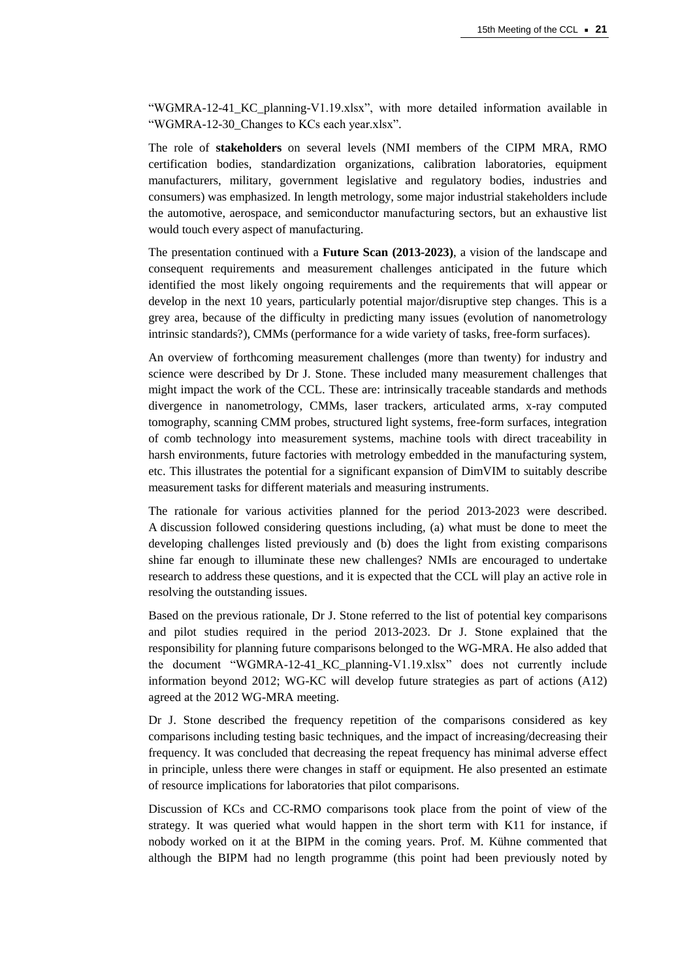"WGMRA-12-41\_KC\_planning-V1.19.xlsx", with more detailed information available in "WGMRA-12-30\_Changes to KCs each year.xlsx".

The role of **stakeholders** on several levels (NMI members of the CIPM MRA, RMO certification bodies, standardization organizations, calibration laboratories, equipment manufacturers, military, government legislative and regulatory bodies, industries and consumers) was emphasized. In length metrology, some major industrial stakeholders include the automotive, aerospace, and semiconductor manufacturing sectors, but an exhaustive list would touch every aspect of manufacturing.

The presentation continued with a **Future Scan (2013-2023)**, a vision of the landscape and consequent requirements and measurement challenges anticipated in the future which identified the most likely ongoing requirements and the requirements that will appear or develop in the next 10 years, particularly potential major/disruptive step changes. This is a grey area, because of the difficulty in predicting many issues (evolution of nanometrology intrinsic standards?), CMMs (performance for a wide variety of tasks, free-form surfaces).

An overview of forthcoming measurement challenges (more than twenty) for industry and science were described by Dr J. Stone. These included many measurement challenges that might impact the work of the CCL. These are: intrinsically traceable standards and methods divergence in nanometrology, CMMs, laser trackers, articulated arms, x-ray computed tomography, scanning CMM probes, structured light systems, free-form surfaces, integration of comb technology into measurement systems, machine tools with direct traceability in harsh environments, future factories with metrology embedded in the manufacturing system, etc. This illustrates the potential for a significant expansion of DimVIM to suitably describe measurement tasks for different materials and measuring instruments.

The rationale for various activities planned for the period 2013-2023 were described. A discussion followed considering questions including, (a) what must be done to meet the developing challenges listed previously and (b) does the light from existing comparisons shine far enough to illuminate these new challenges? NMIs are encouraged to undertake research to address these questions, and it is expected that the CCL will play an active role in resolving the outstanding issues.

Based on the previous rationale, Dr J. Stone referred to the list of potential key comparisons and pilot studies required in the period 2013-2023. Dr J. Stone explained that the responsibility for planning future comparisons belonged to the WG-MRA. He also added that the document "WGMRA-12-41\_KC\_planning-V1.19.xlsx" does not currently include information beyond 2012; WG-KC will develop future strategies as part of actions (A12) agreed at the 2012 WG-MRA meeting.

Dr J. Stone described the frequency repetition of the comparisons considered as key comparisons including testing basic techniques, and the impact of increasing/decreasing their frequency. It was concluded that decreasing the repeat frequency has minimal adverse effect in principle, unless there were changes in staff or equipment. He also presented an estimate of resource implications for laboratories that pilot comparisons.

Discussion of KCs and CC-RMO comparisons took place from the point of view of the strategy. It was queried what would happen in the short term with K11 for instance, if nobody worked on it at the BIPM in the coming years. Prof. M. Kühne commented that although the BIPM had no length programme (this point had been previously noted by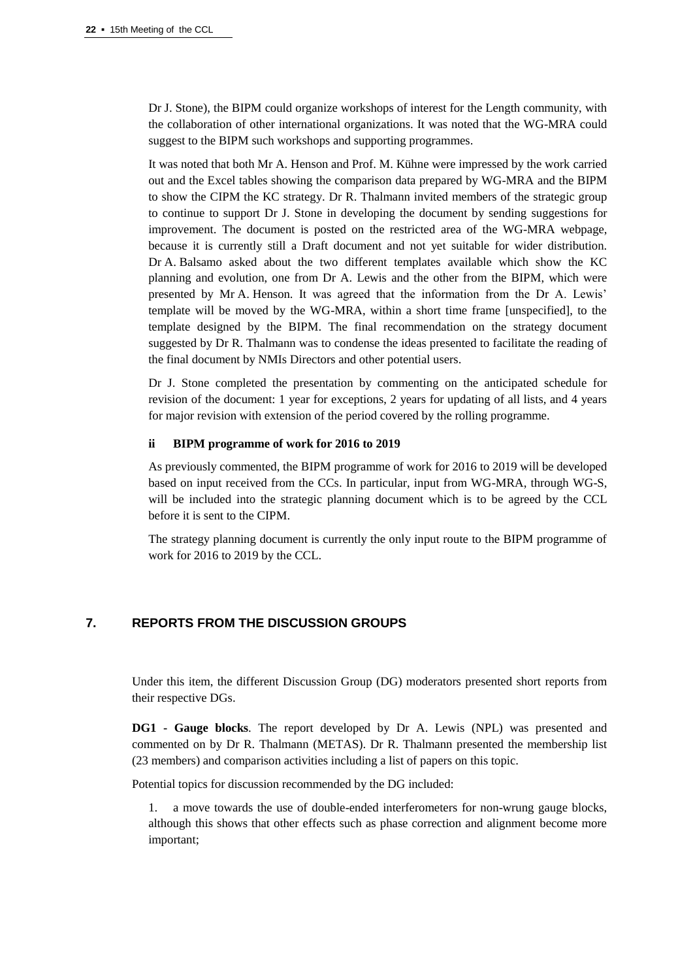Dr J. Stone), the BIPM could organize workshops of interest for the Length community, with the collaboration of other international organizations. It was noted that the WG-MRA could suggest to the BIPM such workshops and supporting programmes.

It was noted that both Mr A. Henson and Prof. M. Kühne were impressed by the work carried out and the Excel tables showing the comparison data prepared by WG-MRA and the BIPM to show the CIPM the KC strategy. Dr R. Thalmann invited members of the strategic group to continue to support Dr J. Stone in developing the document by sending suggestions for improvement. The document is posted on the restricted area of the WG-MRA webpage, because it is currently still a Draft document and not yet suitable for wider distribution. Dr A. Balsamo asked about the two different templates available which show the KC planning and evolution, one from Dr A. Lewis and the other from the BIPM, which were presented by Mr A. Henson. It was agreed that the information from the Dr A. Lewis' template will be moved by the WG-MRA, within a short time frame [unspecified], to the template designed by the BIPM. The final recommendation on the strategy document suggested by Dr R. Thalmann was to condense the ideas presented to facilitate the reading of the final document by NMIs Directors and other potential users.

Dr J. Stone completed the presentation by commenting on the anticipated schedule for revision of the document: 1 year for exceptions, 2 years for updating of all lists, and 4 years for major revision with extension of the period covered by the rolling programme.

## **ii BIPM programme of work for 2016 to 2019**

As previously commented, the BIPM programme of work for 2016 to 2019 will be developed based on input received from the CCs. In particular, input from WG-MRA, through WG-S, will be included into the strategic planning document which is to be agreed by the CCL before it is sent to the CIPM.

The strategy planning document is currently the only input route to the BIPM programme of work for 2016 to 2019 by the CCL.

# **7. REPORTS FROM THE DISCUSSION GROUPS**

Under this item, the different Discussion Group (DG) moderators presented short reports from their respective DGs.

**DG1 - Gauge blocks**. The report developed by Dr A. Lewis (NPL) was presented and commented on by Dr R. Thalmann (METAS). Dr R. Thalmann presented the membership list (23 members) and comparison activities including a list of papers on this topic.

Potential topics for discussion recommended by the DG included:

1. a move towards the use of double-ended interferometers for non-wrung gauge blocks, although this shows that other effects such as phase correction and alignment become more important;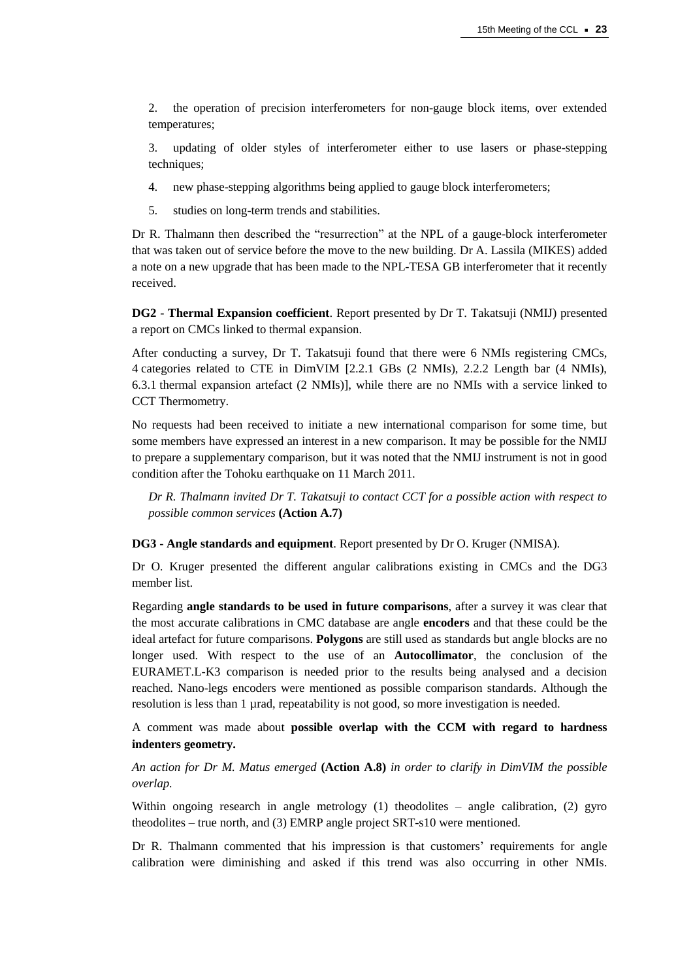2. the operation of precision interferometers for non-gauge block items, over extended temperatures;

3. updating of older styles of interferometer either to use lasers or phase-stepping techniques;

- 4. new phase-stepping algorithms being applied to gauge block interferometers;
- 5. studies on long-term trends and stabilities.

Dr R. Thalmann then described the "resurrection" at the NPL of a gauge-block interferometer that was taken out of service before the move to the new building. Dr A. Lassila (MIKES) added a note on a new upgrade that has been made to the NPL-TESA GB interferometer that it recently received.

**DG2 - Thermal Expansion coefficient**. Report presented by Dr T. Takatsuji (NMIJ) presented a report on CMCs linked to thermal expansion.

After conducting a survey, Dr T. Takatsuji found that there were 6 NMIs registering CMCs, 4 categories related to CTE in DimVIM [2.2.1 GBs (2 NMIs), 2.2.2 Length bar (4 NMIs), 6.3.1 thermal expansion artefact (2 NMIs)], while there are no NMIs with a service linked to CCT Thermometry.

No requests had been received to initiate a new international comparison for some time, but some members have expressed an interest in a new comparison. It may be possible for the NMIJ to prepare a supplementary comparison, but it was noted that the NMIJ instrument is not in good condition after the Tohoku earthquake on 11 March 2011.

*Dr R. Thalmann invited Dr T. Takatsuji to contact CCT for a possible action with respect to possible common services* **(Action A.7)**

**DG3 - Angle standards and equipment**. Report presented by Dr O. Kruger (NMISA).

Dr O. Kruger presented the different angular calibrations existing in CMCs and the DG3 member list.

Regarding **angle standards to be used in future comparisons**, after a survey it was clear that the most accurate calibrations in CMC database are angle **encoders** and that these could be the ideal artefact for future comparisons. **Polygons** are still used as standards but angle blocks are no longer used. With respect to the use of an **Autocollimator**, the conclusion of the EURAMET.L-K3 comparison is needed prior to the results being analysed and a decision reached. Nano-legs encoders were mentioned as possible comparison standards. Although the resolution is less than 1 µrad, repeatability is not good, so more investigation is needed.

A comment was made about **possible overlap with the CCM with regard to hardness indenters geometry.**

*An action for Dr M. Matus emerged* **(Action A.8)** *in order to clarify in DimVIM the possible overlap.*

Within ongoing research in angle metrology (1) theodolites – angle calibration, (2) gyro theodolites – true north, and (3) EMRP angle project SRT-s10 were mentioned.

Dr R. Thalmann commented that his impression is that customers' requirements for angle calibration were diminishing and asked if this trend was also occurring in other NMIs.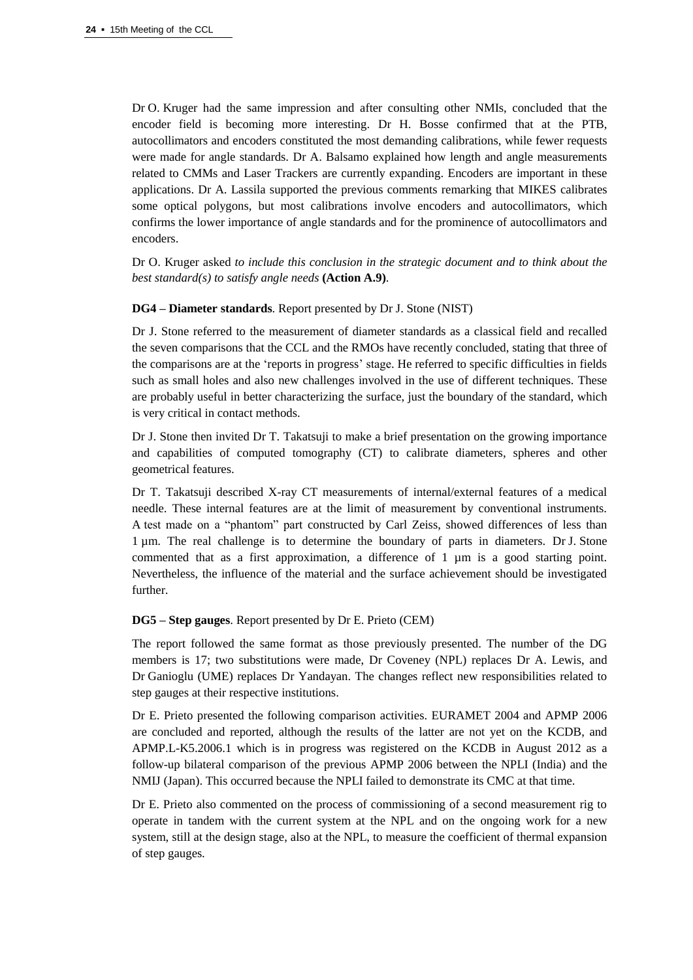Dr O. Kruger had the same impression and after consulting other NMIs, concluded that the encoder field is becoming more interesting. Dr H. Bosse confirmed that at the PTB, autocollimators and encoders constituted the most demanding calibrations, while fewer requests were made for angle standards. Dr A. Balsamo explained how length and angle measurements related to CMMs and Laser Trackers are currently expanding. Encoders are important in these applications. Dr A. Lassila supported the previous comments remarking that MIKES calibrates some optical polygons, but most calibrations involve encoders and autocollimators, which confirms the lower importance of angle standards and for the prominence of autocollimators and encoders.

Dr O. Kruger asked *to include this conclusion in the strategic document and to think about the best standard(s) to satisfy angle needs* **(Action A.9)**.

## **DG4 – Diameter standards**. Report presented by Dr J. Stone (NIST)

Dr J. Stone referred to the measurement of diameter standards as a classical field and recalled the seven comparisons that the CCL and the RMOs have recently concluded, stating that three of the comparisons are at the 'reports in progress' stage. He referred to specific difficulties in fields such as small holes and also new challenges involved in the use of different techniques. These are probably useful in better characterizing the surface, just the boundary of the standard, which is very critical in contact methods.

Dr J. Stone then invited Dr T. Takatsuji to make a brief presentation on the growing importance and capabilities of computed tomography (CT) to calibrate diameters, spheres and other geometrical features.

Dr T. Takatsuji described X-ray CT measurements of internal/external features of a medical needle. These internal features are at the limit of measurement by conventional instruments. A test made on a "phantom" part constructed by Carl Zeiss, showed differences of less than 1 µm. The real challenge is to determine the boundary of parts in diameters. Dr J. Stone commented that as a first approximation, a difference of  $1 \mu m$  is a good starting point. Nevertheless, the influence of the material and the surface achievement should be investigated further.

## **DG5 – Step gauges**. Report presented by Dr E. Prieto (CEM)

The report followed the same format as those previously presented. The number of the DG members is 17; two substitutions were made, Dr Coveney (NPL) replaces Dr A. Lewis, and Dr Ganioglu (UME) replaces Dr Yandayan. The changes reflect new responsibilities related to step gauges at their respective institutions.

Dr E. Prieto presented the following comparison activities. EURAMET 2004 and APMP 2006 are concluded and reported, although the results of the latter are not yet on the KCDB, and APMP.L-K5.2006.1 which is in progress was registered on the KCDB in August 2012 as a follow-up bilateral comparison of the previous APMP 2006 between the NPLI (India) and the NMIJ (Japan). This occurred because the NPLI failed to demonstrate its CMC at that time.

Dr E. Prieto also commented on the process of commissioning of a second measurement rig to operate in tandem with the current system at the NPL and on the ongoing work for a new system, still at the design stage, also at the NPL, to measure the coefficient of thermal expansion of step gauges.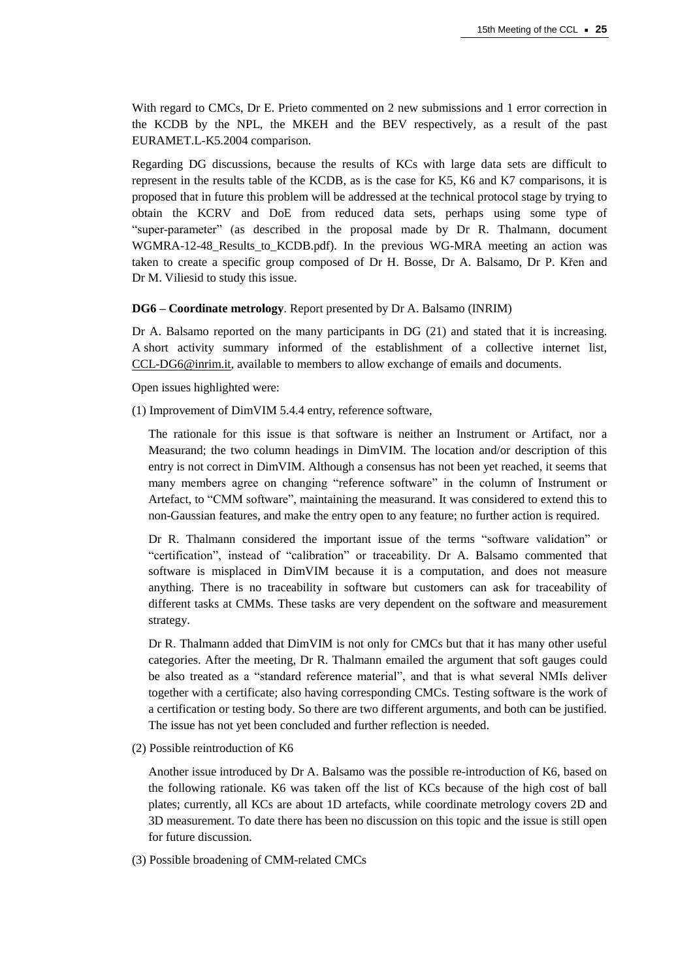With regard to CMCs, Dr E. Prieto commented on 2 new submissions and 1 error correction in the KCDB by the NPL, the MKEH and the BEV respectively, as a result of the past EURAMET.L-K5.2004 comparison.

Regarding DG discussions, because the results of KCs with large data sets are difficult to represent in the results table of the KCDB, as is the case for K5, K6 and K7 comparisons, it is proposed that in future this problem will be addressed at the technical protocol stage by trying to obtain the KCRV and DoE from reduced data sets, perhaps using some type of "super-parameter" (as described in the proposal made by Dr R. Thalmann, document WGMRA-12-48\_Results\_to\_KCDB.pdf). In the previous WG-MRA meeting an action was taken to create a specific group composed of Dr H. Bosse, Dr A. Balsamo, Dr P. Křen and Dr M. Viliesid to study this issue.

#### **DG6 – Coordinate metrology**. Report presented by Dr A. Balsamo (INRIM)

Dr A. Balsamo reported on the many participants in DG (21) and stated that it is increasing. A short activity summary informed of the establishment of a collective internet list, [CCL-DG6@inrim.it,](mailto:CCL%1EDG6@inrim.it) available to members to allow exchange of emails and documents.

Open issues highlighted were:

(1) Improvement of DimVIM 5.4.4 entry, reference software,

The rationale for this issue is that software is neither an Instrument or Artifact, nor a Measurand; the two column headings in DimVIM. The location and/or description of this entry is not correct in DimVIM. Although a consensus has not been yet reached, it seems that many members agree on changing "reference software" in the column of Instrument or Artefact, to "CMM software", maintaining the measurand. It was considered to extend this to non-Gaussian features, and make the entry open to any feature; no further action is required.

Dr R. Thalmann considered the important issue of the terms "software validation" or "certification", instead of "calibration" or traceability. Dr A. Balsamo commented that software is misplaced in DimVIM because it is a computation, and does not measure anything. There is no traceability in software but customers can ask for traceability of different tasks at CMMs. These tasks are very dependent on the software and measurement strategy.

Dr R. Thalmann added that DimVIM is not only for CMCs but that it has many other useful categories. After the meeting, Dr R. Thalmann emailed the argument that soft gauges could be also treated as a "standard reference material", and that is what several NMIs deliver together with a certificate; also having corresponding CMCs. Testing software is the work of a certification or testing body. So there are two different arguments, and both can be justified. The issue has not yet been concluded and further reflection is needed.

(2) Possible reintroduction of K6

Another issue introduced by Dr A. Balsamo was the possible re-introduction of K6, based on the following rationale. K6 was taken off the list of KCs because of the high cost of ball plates; currently, all KCs are about 1D artefacts, while coordinate metrology covers 2D and 3D measurement. To date there has been no discussion on this topic and the issue is still open for future discussion.

(3) Possible broadening of CMM-related CMCs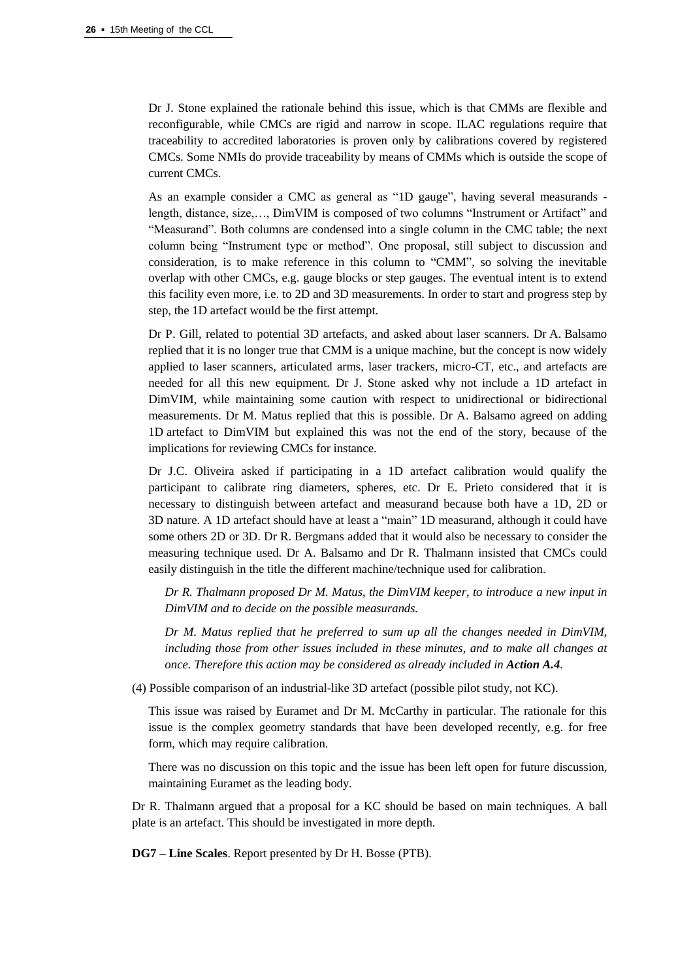Dr J. Stone explained the rationale behind this issue, which is that CMMs are flexible and reconfigurable, while CMCs are rigid and narrow in scope. ILAC regulations require that traceability to accredited laboratories is proven only by calibrations covered by registered CMCs. Some NMIs do provide traceability by means of CMMs which is outside the scope of current CMCs.

As an example consider a CMC as general as "1D gauge", having several measurands length, distance, size,…, DimVIM is composed of two columns "Instrument or Artifact" and "Measurand". Both columns are condensed into a single column in the CMC table; the next column being "Instrument type or method". One proposal, still subject to discussion and consideration, is to make reference in this column to "CMM", so solving the inevitable overlap with other CMCs, e.g. gauge blocks or step gauges. The eventual intent is to extend this facility even more, i.e. to 2D and 3D measurements. In order to start and progress step by step, the 1D artefact would be the first attempt.

Dr P. Gill, related to potential 3D artefacts, and asked about laser scanners. Dr A. Balsamo replied that it is no longer true that CMM is a unique machine, but the concept is now widely applied to laser scanners, articulated arms, laser trackers, micro-CT, etc., and artefacts are needed for all this new equipment. Dr J. Stone asked why not include a 1D artefact in DimVIM, while maintaining some caution with respect to unidirectional or bidirectional measurements. Dr M. Matus replied that this is possible. Dr A. Balsamo agreed on adding 1D artefact to DimVIM but explained this was not the end of the story, because of the implications for reviewing CMCs for instance.

Dr J.C. Oliveira asked if participating in a 1D artefact calibration would qualify the participant to calibrate ring diameters, spheres, etc. Dr E. Prieto considered that it is necessary to distinguish between artefact and measurand because both have a 1D, 2D or 3D nature. A 1D artefact should have at least a "main" 1D measurand, although it could have some others 2D or 3D. Dr R. Bergmans added that it would also be necessary to consider the measuring technique used. Dr A. Balsamo and Dr R. Thalmann insisted that CMCs could easily distinguish in the title the different machine/technique used for calibration.

*Dr R. Thalmann proposed Dr M. Matus, the DimVIM keeper, to introduce a new input in DimVIM and to decide on the possible measurands.*

*Dr M. Matus replied that he preferred to sum up all the changes needed in DimVIM, including those from other issues included in these minutes, and to make all changes at once. Therefore this action may be considered as already included in Action A.4.* 

(4) Possible comparison of an industrial-like 3D artefact (possible pilot study, not KC).

This issue was raised by Euramet and Dr M. McCarthy in particular. The rationale for this issue is the complex geometry standards that have been developed recently, e.g. for free form, which may require calibration.

There was no discussion on this topic and the issue has been left open for future discussion, maintaining Euramet as the leading body.

Dr R. Thalmann argued that a proposal for a KC should be based on main techniques. A ball plate is an artefact. This should be investigated in more depth.

**DG7 – Line Scales**. Report presented by Dr H. Bosse (PTB).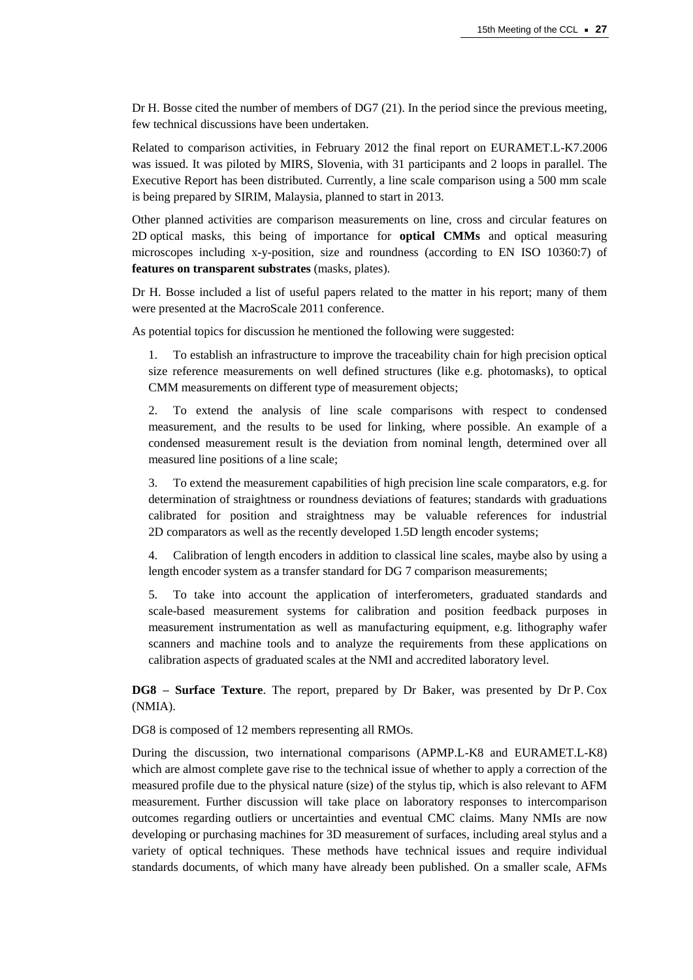Dr H. Bosse cited the number of members of DG7 (21). In the period since the previous meeting, few technical discussions have been undertaken.

Related to comparison activities, in February 2012 the final report on EURAMET.L-K7.2006 was issued. It was piloted by MIRS, Slovenia, with 31 participants and 2 loops in parallel. The Executive Report has been distributed. Currently, a line scale comparison using a 500 mm scale is being prepared by SIRIM, Malaysia, planned to start in 2013.

Other planned activities are comparison measurements on line, cross and circular features on 2D optical masks, this being of importance for **optical CMMs** and optical measuring microscopes including x-y-position, size and roundness (according to EN ISO 10360:7) of **features on transparent substrates** (masks, plates).

Dr H. Bosse included a list of useful papers related to the matter in his report; many of them were presented at the MacroScale 2011 conference.

As potential topics for discussion he mentioned the following were suggested:

1. To establish an infrastructure to improve the traceability chain for high precision optical size reference measurements on well defined structures (like e.g. photomasks), to optical CMM measurements on different type of measurement objects;

2. To extend the analysis of line scale comparisons with respect to condensed measurement, and the results to be used for linking, where possible. An example of a condensed measurement result is the deviation from nominal length, determined over all measured line positions of a line scale;

3. To extend the measurement capabilities of high precision line scale comparators, e.g. for determination of straightness or roundness deviations of features; standards with graduations calibrated for position and straightness may be valuable references for industrial 2D comparators as well as the recently developed 1.5D length encoder systems;

4. Calibration of length encoders in addition to classical line scales, maybe also by using a length encoder system as a transfer standard for DG 7 comparison measurements;

5. To take into account the application of interferometers, graduated standards and scale-based measurement systems for calibration and position feedback purposes in measurement instrumentation as well as manufacturing equipment, e.g. lithography wafer scanners and machine tools and to analyze the requirements from these applications on calibration aspects of graduated scales at the NMI and accredited laboratory level.

**DG8 – Surface Texture**. The report, prepared by Dr Baker, was presented by Dr P. Cox (NMIA).

DG8 is composed of 12 members representing all RMOs.

During the discussion, two international comparisons (APMP.L-K8 and EURAMET.L-K8) which are almost complete gave rise to the technical issue of whether to apply a correction of the measured profile due to the physical nature (size) of the stylus tip, which is also relevant to AFM measurement. Further discussion will take place on laboratory responses to intercomparison outcomes regarding outliers or uncertainties and eventual CMC claims. Many NMIs are now developing or purchasing machines for 3D measurement of surfaces, including areal stylus and a variety of optical techniques. These methods have technical issues and require individual standards documents, of which many have already been published. On a smaller scale, AFMs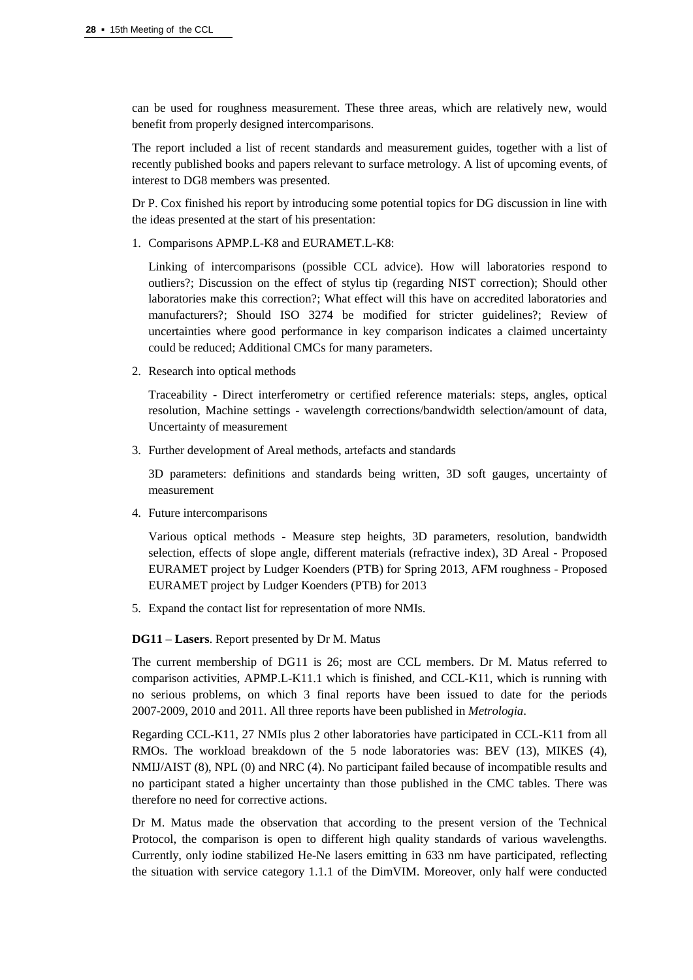can be used for roughness measurement. These three areas, which are relatively new, would benefit from properly designed intercomparisons.

The report included a list of recent standards and measurement guides, together with a list of recently published books and papers relevant to surface metrology. A list of upcoming events, of interest to DG8 members was presented.

Dr P. Cox finished his report by introducing some potential topics for DG discussion in line with the ideas presented at the start of his presentation:

1. Comparisons APMP.L-K8 and EURAMET.L-K8:

Linking of intercomparisons (possible CCL advice). How will laboratories respond to outliers?; Discussion on the effect of stylus tip (regarding NIST correction); Should other laboratories make this correction?; What effect will this have on accredited laboratories and manufacturers?; Should ISO 3274 be modified for stricter guidelines?; Review of uncertainties where good performance in key comparison indicates a claimed uncertainty could be reduced; Additional CMCs for many parameters.

2. Research into optical methods

Traceability - Direct interferometry or certified reference materials: steps, angles, optical resolution, Machine settings - wavelength corrections/bandwidth selection/amount of data, Uncertainty of measurement

3. Further development of Areal methods, artefacts and standards

3D parameters: definitions and standards being written, 3D soft gauges, uncertainty of measurement

4. Future intercomparisons

Various optical methods - Measure step heights, 3D parameters, resolution, bandwidth selection, effects of slope angle, different materials (refractive index), 3D Areal - Proposed EURAMET project by Ludger Koenders (PTB) for Spring 2013, AFM roughness - Proposed EURAMET project by Ludger Koenders (PTB) for 2013

5. Expand the contact list for representation of more NMIs.

**DG11 – Lasers**. Report presented by Dr M. Matus

The current membership of DG11 is 26; most are CCL members. Dr M. Matus referred to comparison activities, APMP.L-K11.1 which is finished, and CCL-K11, which is running with no serious problems, on which 3 final reports have been issued to date for the periods 2007-2009, 2010 and 2011. All three reports have been published in *Metrologia*.

Regarding CCL-K11, 27 NMIs plus 2 other laboratories have participated in CCL-K11 from all RMOs. The workload breakdown of the 5 node laboratories was: BEV (13), MIKES (4), NMIJ/AIST (8), NPL (0) and NRC (4). No participant failed because of incompatible results and no participant stated a higher uncertainty than those published in the CMC tables. There was therefore no need for corrective actions.

Dr M. Matus made the observation that according to the present version of the Technical Protocol, the comparison is open to different high quality standards of various wavelengths. Currently, only iodine stabilized He-Ne lasers emitting in 633 nm have participated, reflecting the situation with service category 1.1.1 of the DimVIM. Moreover, only half were conducted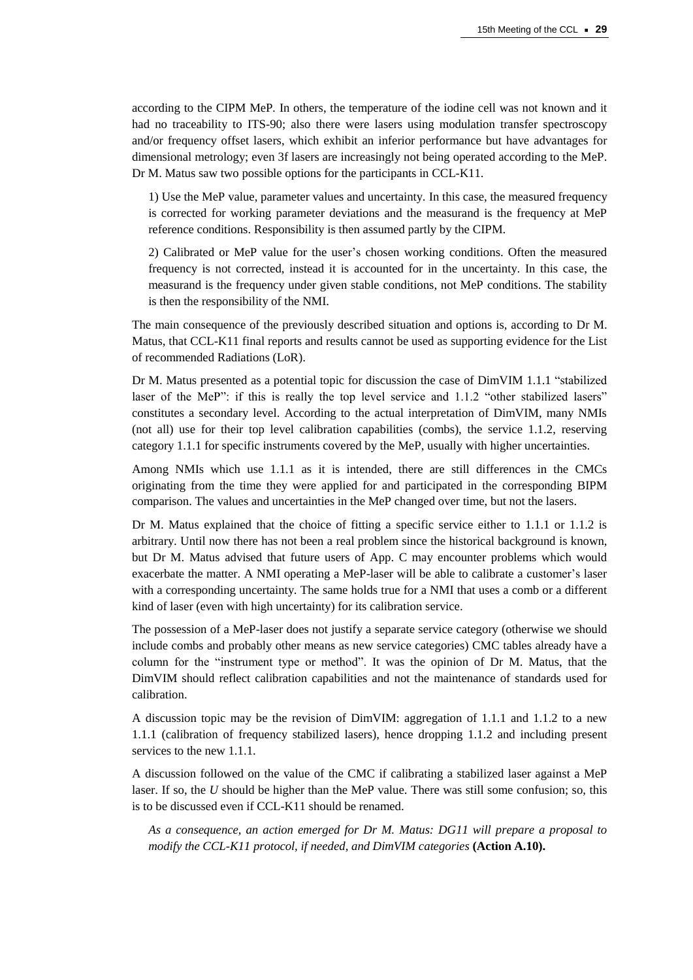according to the CIPM MeP*.* In others, the temperature of the iodine cell was not known and it had no traceability to ITS-90; also there were lasers using modulation transfer spectroscopy and/or frequency offset lasers, which exhibit an inferior performance but have advantages for dimensional metrology; even 3f lasers are increasingly not being operated according to the MeP. Dr M. Matus saw two possible options for the participants in CCL-K11.

1) Use the MeP value, parameter values and uncertainty. In this case, the measured frequency is corrected for working parameter deviations and the measurand is the frequency at MeP reference conditions. Responsibility is then assumed partly by the CIPM.

2) Calibrated or MeP value for the user's chosen working conditions. Often the measured frequency is not corrected, instead it is accounted for in the uncertainty. In this case, the measurand is the frequency under given stable conditions, not MeP conditions. The stability is then the responsibility of the NMI.

The main consequence of the previously described situation and options is, according to Dr M. Matus, that CCL-K11 final reports and results cannot be used as supporting evidence for the List of recommended Radiations (LoR).

Dr M. Matus presented as a potential topic for discussion the case of DimVIM 1.1.1 "stabilized laser of the MeP": if this is really the top level service and 1.1.2 "other stabilized lasers" constitutes a secondary level. According to the actual interpretation of DimVIM, many NMIs (not all) use for their top level calibration capabilities (combs), the service 1.1.2, reserving category 1.1.1 for specific instruments covered by the MeP, usually with higher uncertainties.

Among NMIs which use 1.1.1 as it is intended, there are still differences in the CMCs originating from the time they were applied for and participated in the corresponding BIPM comparison. The values and uncertainties in the MeP changed over time, but not the lasers.

Dr M. Matus explained that the choice of fitting a specific service either to 1.1.1 or 1.1.2 is arbitrary. Until now there has not been a real problem since the historical background is known, but Dr M. Matus advised that future users of App. C may encounter problems which would exacerbate the matter. A NMI operating a MeP-laser will be able to calibrate a customer's laser with a corresponding uncertainty. The same holds true for a NMI that uses a comb or a different kind of laser (even with high uncertainty) for its calibration service.

The possession of a MeP-laser does not justify a separate service category (otherwise we should include combs and probably other means as new service categories) CMC tables already have a column for the "instrument type or method". It was the opinion of Dr M. Matus, that the DimVIM should reflect calibration capabilities and not the maintenance of standards used for calibration.

A discussion topic may be the revision of DimVIM: aggregation of 1.1.1 and 1.1.2 to a new 1.1.1 (calibration of frequency stabilized lasers), hence dropping 1.1.2 and including present services to the new 1.1.1.

A discussion followed on the value of the CMC if calibrating a stabilized laser against a MeP laser. If so, the *U* should be higher than the MeP value. There was still some confusion; so, this is to be discussed even if CCL-K11 should be renamed.

*As a consequence, an action emerged for Dr M. Matus: DG11 will prepare a proposal to modify the CCL-K11 protocol, if needed, and DimVIM categories* **(Action A.10).**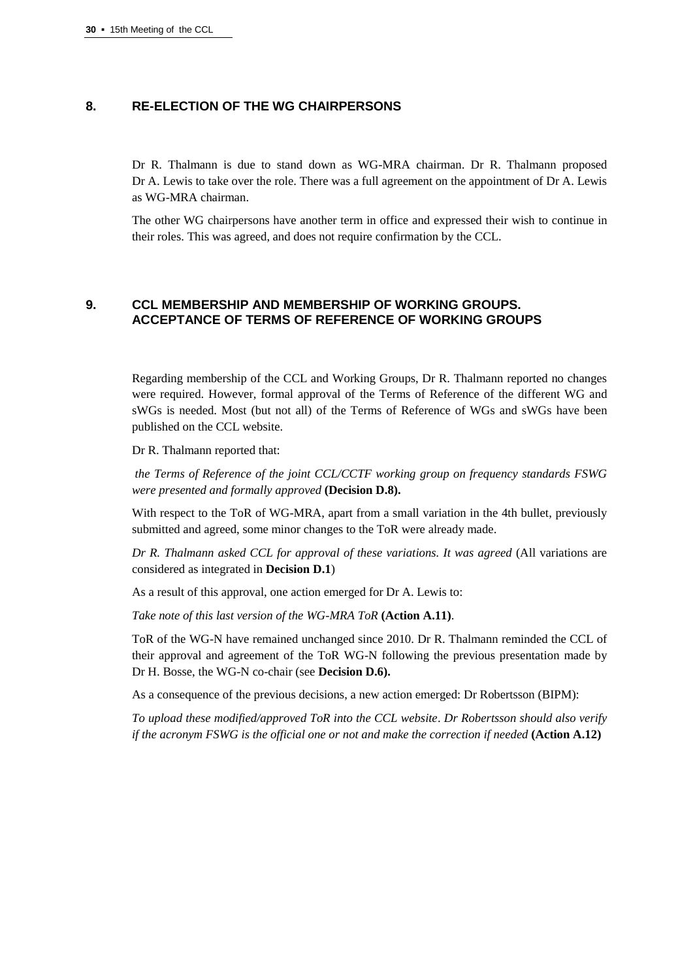# **8. RE-ELECTION OF THE WG CHAIRPERSONS**

Dr R. Thalmann is due to stand down as WG-MRA chairman. Dr R. Thalmann proposed Dr A. Lewis to take over the role. There was a full agreement on the appointment of Dr A. Lewis as WG-MRA chairman.

The other WG chairpersons have another term in office and expressed their wish to continue in their roles. This was agreed, and does not require confirmation by the CCL.

# **9. CCL MEMBERSHIP AND MEMBERSHIP OF WORKING GROUPS. ACCEPTANCE OF TERMS OF REFERENCE OF WORKING GROUPS**

Regarding membership of the CCL and Working Groups, Dr R. Thalmann reported no changes were required. However, formal approval of the Terms of Reference of the different WG and sWGs is needed. Most (but not all) of the Terms of Reference of WGs and sWGs have been published on the CCL website.

Dr R. Thalmann reported that:

*the Terms of Reference of the joint CCL/CCTF working group on frequency standards FSWG were presented and formally approved* **(Decision D.8).**

With respect to the ToR of WG-MRA, apart from a small variation in the 4th bullet, previously submitted and agreed, some minor changes to the ToR were already made.

*Dr R. Thalmann asked CCL for approval of these variations. It was agreed* (All variations are considered as integrated in **Decision D.1**)

As a result of this approval, one action emerged for Dr A. Lewis to:

*Take note of this last version of the WG-MRA ToR* **(Action A.11)**.

ToR of the WG-N have remained unchanged since 2010. Dr R. Thalmann reminded the CCL of their approval and agreement of the ToR WG-N following the previous presentation made by Dr H. Bosse, the WG-N co-chair (see **Decision D.6).**

As a consequence of the previous decisions, a new action emerged: Dr Robertsson (BIPM):

*To upload these modified/approved ToR into the CCL website*. *Dr Robertsson should also verify if the acronym FSWG is the official one or not and make the correction if needed* **(Action A.12)**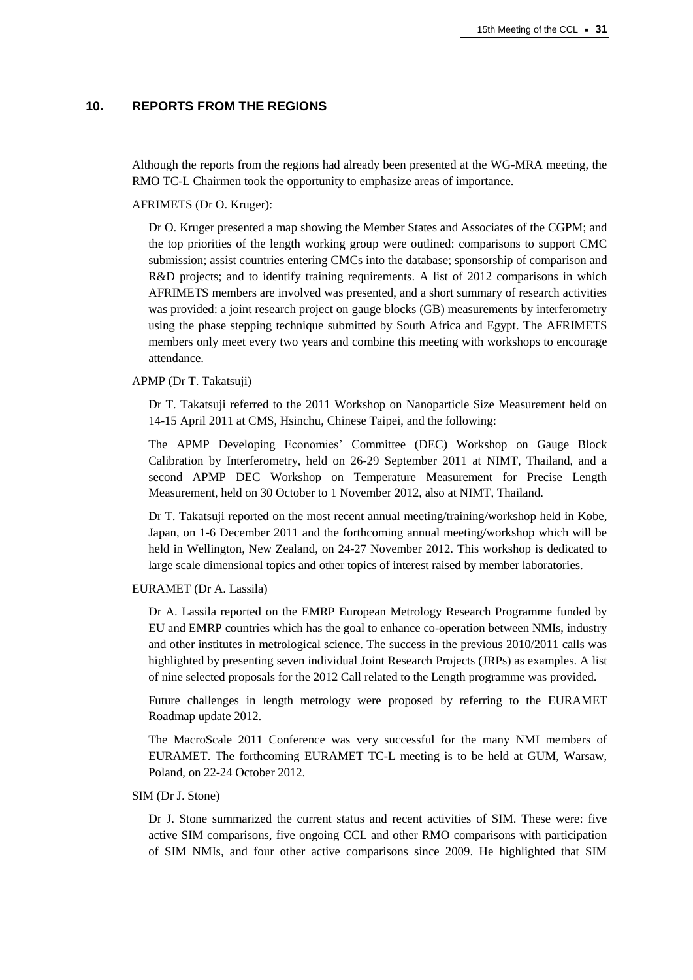# **10. REPORTS FROM THE REGIONS**

Although the reports from the regions had already been presented at the WG-MRA meeting, the RMO TC-L Chairmen took the opportunity to emphasize areas of importance.

AFRIMETS (Dr O. Kruger):

Dr O. Kruger presented a map showing the Member States and Associates of the CGPM; and the top priorities of the length working group were outlined: comparisons to support CMC submission; assist countries entering CMCs into the database; sponsorship of comparison and R&D projects; and to identify training requirements. A list of 2012 comparisons in which AFRIMETS members are involved was presented, and a short summary of research activities was provided: a joint research project on gauge blocks (GB) measurements by interferometry using the phase stepping technique submitted by South Africa and Egypt. The AFRIMETS members only meet every two years and combine this meeting with workshops to encourage attendance.

## APMP (Dr T. Takatsuji)

Dr T. Takatsuji referred to the 2011 Workshop on Nanoparticle Size Measurement held on 14-15 April 2011 at CMS, Hsinchu, Chinese Taipei, and the following:

The APMP Developing Economies' Committee (DEC) Workshop on Gauge Block Calibration by Interferometry, held on 26-29 September 2011 at NIMT, Thailand, and a second APMP DEC Workshop on Temperature Measurement for Precise Length Measurement, held on 30 October to 1 November 2012, also at NIMT, Thailand.

Dr T. Takatsuji reported on the most recent annual meeting/training/workshop held in Kobe, Japan, on 1-6 December 2011 and the forthcoming annual meeting/workshop which will be held in Wellington, New Zealand, on 24-27 November 2012. This workshop is dedicated to large scale dimensional topics and other topics of interest raised by member laboratories.

#### EURAMET (Dr A. Lassila)

Dr A. Lassila reported on the EMRP European Metrology Research Programme funded by EU and EMRP countries which has the goal to enhance co-operation between NMIs, industry and other institutes in metrological science. The success in the previous 2010/2011 calls was highlighted by presenting seven individual Joint Research Projects (JRPs) as examples. A list of nine selected proposals for the 2012 Call related to the Length programme was provided.

Future challenges in length metrology were proposed by referring to the EURAMET Roadmap update 2012.

The MacroScale 2011 Conference was very successful for the many NMI members of EURAMET. The forthcoming EURAMET TC-L meeting is to be held at GUM, Warsaw, Poland, on 22-24 October 2012.

### SIM (Dr J. Stone)

Dr J. Stone summarized the current status and recent activities of SIM. These were: five active SIM comparisons, five ongoing CCL and other RMO comparisons with participation of SIM NMIs, and four other active comparisons since 2009. He highlighted that SIM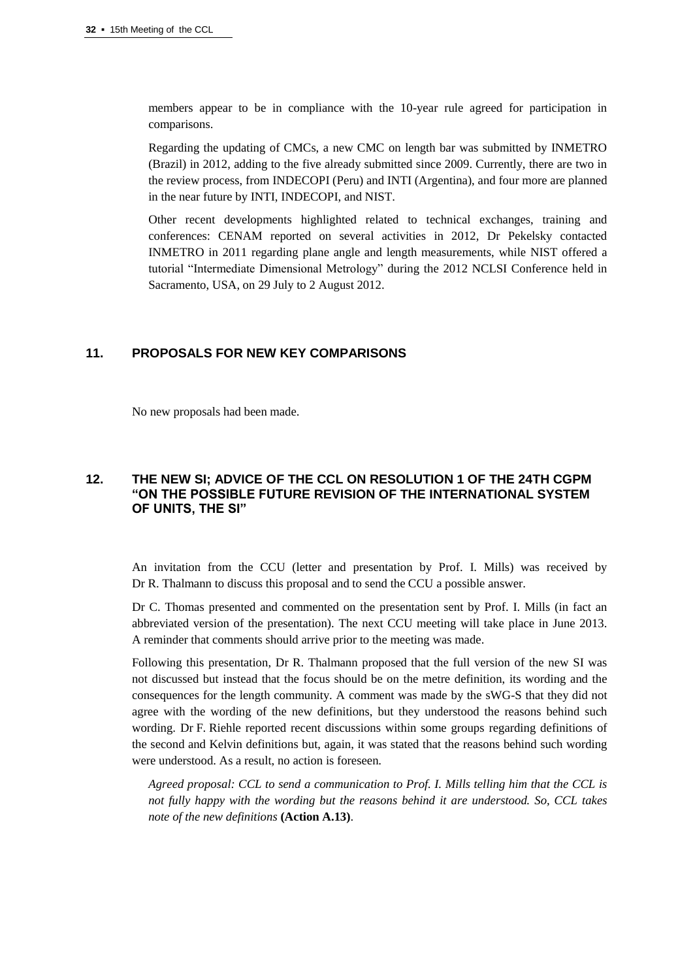members appear to be in compliance with the 10-year rule agreed for participation in comparisons.

Regarding the updating of CMCs, a new CMC on length bar was submitted by INMETRO (Brazil) in 2012, adding to the five already submitted since 2009. Currently, there are two in the review process, from INDECOPI (Peru) and INTI (Argentina), and four more are planned in the near future by INTI, INDECOPI, and NIST.

Other recent developments highlighted related to technical exchanges, training and conferences: CENAM reported on several activities in 2012, Dr Pekelsky contacted INMETRO in 2011 regarding plane angle and length measurements, while NIST offered a tutorial "Intermediate Dimensional Metrology" during the 2012 NCLSI Conference held in Sacramento, USA, on 29 July to 2 August 2012.

# **11. PROPOSALS FOR NEW KEY COMPARISONS**

No new proposals had been made.

# **12. THE NEW SI; ADVICE OF THE CCL ON RESOLUTION 1 OF THE 24TH CGPM "ON THE POSSIBLE FUTURE REVISION OF THE INTERNATIONAL SYSTEM OF UNITS, THE SI"**

An invitation from the CCU (letter and presentation by Prof. I. Mills) was received by Dr R. Thalmann to discuss this proposal and to send the CCU a possible answer.

Dr C. Thomas presented and commented on the presentation sent by Prof. I. Mills (in fact an abbreviated version of the presentation). The next CCU meeting will take place in June 2013. A reminder that comments should arrive prior to the meeting was made.

Following this presentation, Dr R. Thalmann proposed that the full version of the new SI was not discussed but instead that the focus should be on the metre definition, its wording and the consequences for the length community. A comment was made by the sWG-S that they did not agree with the wording of the new definitions, but they understood the reasons behind such wording. Dr F. Riehle reported recent discussions within some groups regarding definitions of the second and Kelvin definitions but, again, it was stated that the reasons behind such wording were understood. As a result, no action is foreseen.

*Agreed proposal: CCL to send a communication to Prof. I. Mills telling him that the CCL is not fully happy with the wording but the reasons behind it are understood. So, CCL takes note of the new definitions* **(Action A.13)**.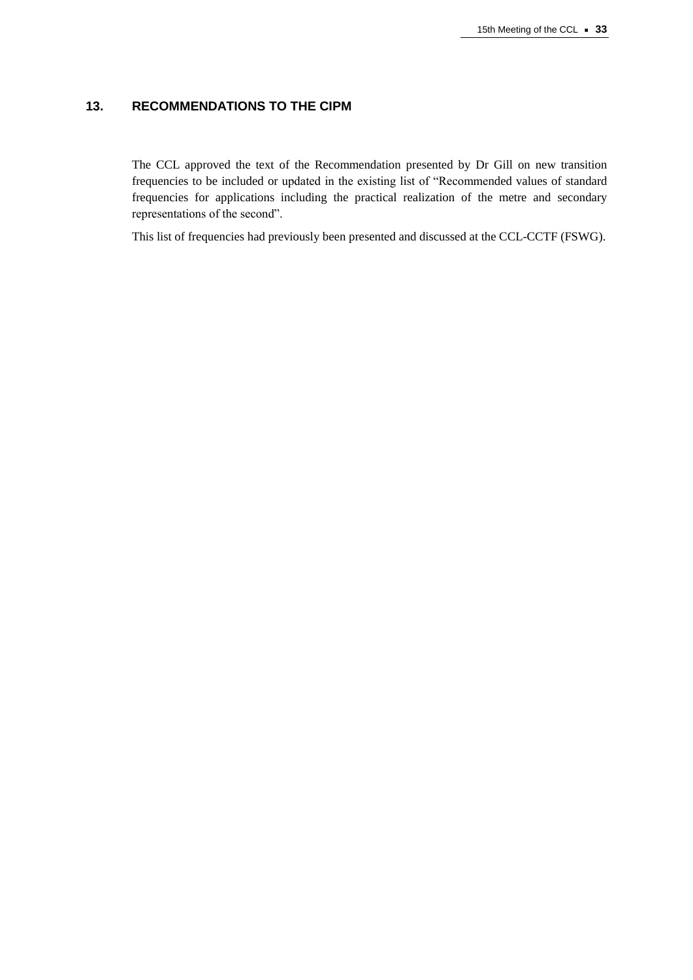# **13. RECOMMENDATIONS TO THE CIPM**

The CCL approved the text of the Recommendation presented by Dr Gill on new transition frequencies to be included or updated in the existing list of "Recommended values of standard frequencies for applications including the practical realization of the metre and secondary representations of the second".

This list of frequencies had previously been presented and discussed at the CCL-CCTF (FSWG).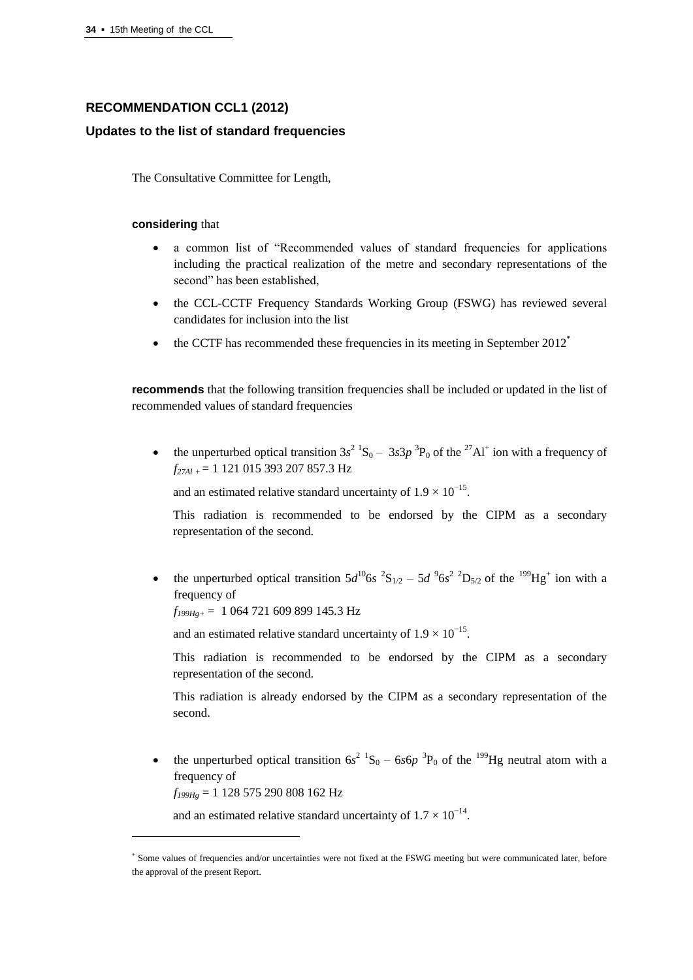# **RECOMMENDATION CCL1 (2012)**

# **Updates to the list of standard frequencies**

The Consultative Committee for Length,

## **considering** that

- a common list of "Recommended values of standard frequencies for applications including the practical realization of the metre and secondary representations of the second" has been established,
- the CCL-CCTF Frequency Standards Working Group (FSWG) has reviewed several candidates for inclusion into the list
- $\bullet$  the CCTF has recommended these frequencies in its meeting in September 2012<sup>\*</sup>

**recommends** that the following transition frequencies shall be included or updated in the list of recommended values of standard frequencies

• the unperturbed optical transition  $3s^2$  <sup>1</sup>S<sub>0</sub> –  $3s3p$  <sup>3</sup>P<sub>0</sub> of the <sup>27</sup>Al<sup>+</sup> ion with a frequency of *f27Al* <sup>+</sup>= 1 121 015 393 207 857.3 Hz

and an estimated relative standard uncertainty of  $1.9 \times 10^{-15}$ .

This radiation is recommended to be endorsed by the CIPM as a secondary representation of the second.

• the unperturbed optical transition  $5d^{10}$ 6*s*  ${}^{2}S_{1/2}$  –  $5d^{9}$ 6*s*<sup>2</sup>  ${}^{2}D_{5/2}$  of the  ${}^{199}$ Hg<sup>+</sup> ion with a frequency of

*f199Hg+* = 1 064 721 609 899 145*.*3 Hz

and an estimated relative standard uncertainty of  $1.9 \times 10^{-15}$ .

This radiation is recommended to be endorsed by the CIPM as a secondary representation of the second.

This radiation is already endorsed by the CIPM as a secondary representation of the second.

• the unperturbed optical transition  $6s^2$   ${}^1S_0 - 6s6p$  <sup>3</sup>P<sub>0</sub> of the <sup>199</sup>Hg neutral atom with a frequency of

*f199Hg* = 1 128 575 290 808 162 Hz

l

and an estimated relative standard uncertainty of  $1.7 \times 10^{-14}$ .

<sup>\*</sup> Some values of frequencies and/or uncertainties were not fixed at the FSWG meeting but were communicated later, before the approval of the present Report.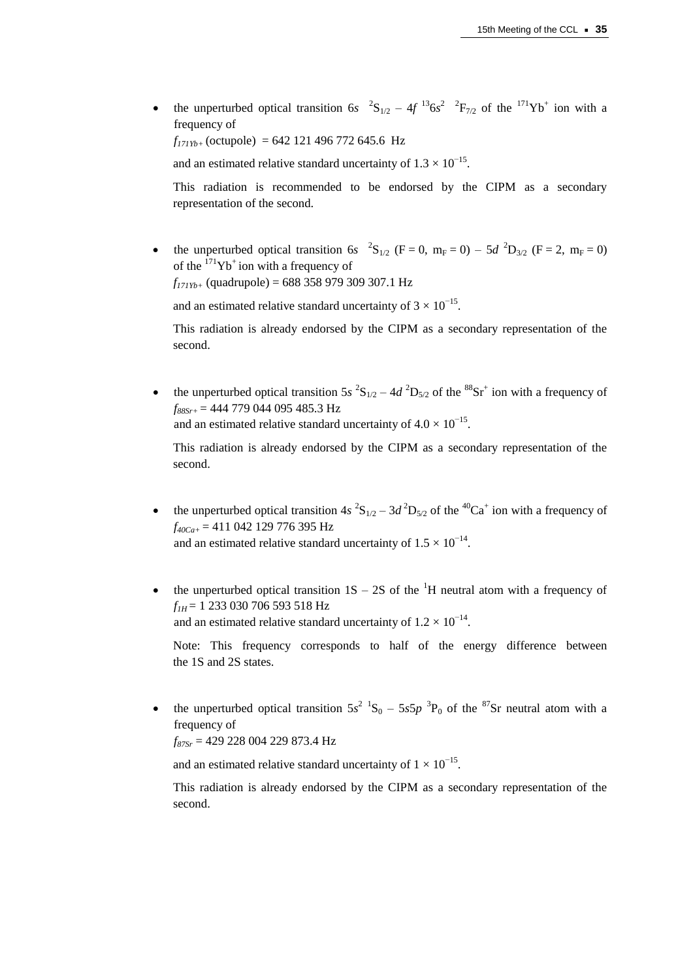• the unperturbed optical transition 6s  ${}^{2}S_{1/2} - 4f {}^{13}6s^{2} {}^{2}F_{7/2}$  of the  ${}^{171}Yb^{+}$  ion with a frequency of

 $f_{171Yb+}$  (octupole) = 642 121 496 772 645.6 Hz

and an estimated relative standard uncertainty of  $1.3 \times 10^{-15}$ .

This radiation is recommended to be endorsed by the CIPM as a secondary representation of the second.

• the unperturbed optical transition 6*s*  ${}^{2}S_{1/2}$  (F = 0, m<sub>F</sub> = 0) – 5*d*  ${}^{2}D_{3/2}$  (F = 2, m<sub>F</sub> = 0) of the  $171$ Yb<sup>+</sup> ion with a frequency of *f171Yb+* (quadrupole) = 688 358 979 309 307.1 Hz

and an estimated relative standard uncertainty of  $3 \times 10^{-15}$ .

This radiation is already endorsed by the CIPM as a secondary representation of the second.

• the unperturbed optical transition  $5s^2S_{1/2} - 4d^2D_{5/2}$  of the  $8s^2S_t^+$  ion with a frequency of *f88Sr+* = 444 779 044 095 485.3 Hz and an estimated relative standard uncertainty of  $4.0 \times 10^{-15}$ .

This radiation is already endorsed by the CIPM as a secondary representation of the second.

- the unperturbed optical transition  $4s^2S_{1/2} 3d^2D_{5/2}$  of the <sup>40</sup>Ca<sup>+</sup> ion with a frequency of *f40Ca+* = 411 042 129 776 395 Hz and an estimated relative standard uncertainty of  $1.5 \times 10^{-14}$ .
- the unperturbed optical transition  $1S 2S$  of the <sup>1</sup>H neutral atom with a frequency of *f1H* = 1 233 030 706 593 518 Hz and an estimated relative standard uncertainty of  $1.2 \times 10^{-14}$ .

Note: This frequency corresponds to half of the energy difference between the 1S and 2S states.

• the unperturbed optical transition  $5s^2$   ${}^1S_0$  –  $5s5p$   ${}^3P_0$  of the  ${}^{87}Sr$  neutral atom with a frequency of

*f87Sr* = 429 228 004 229 873.4 Hz

and an estimated relative standard uncertainty of  $1 \times 10^{-15}$ .

This radiation is already endorsed by the CIPM as a secondary representation of the second.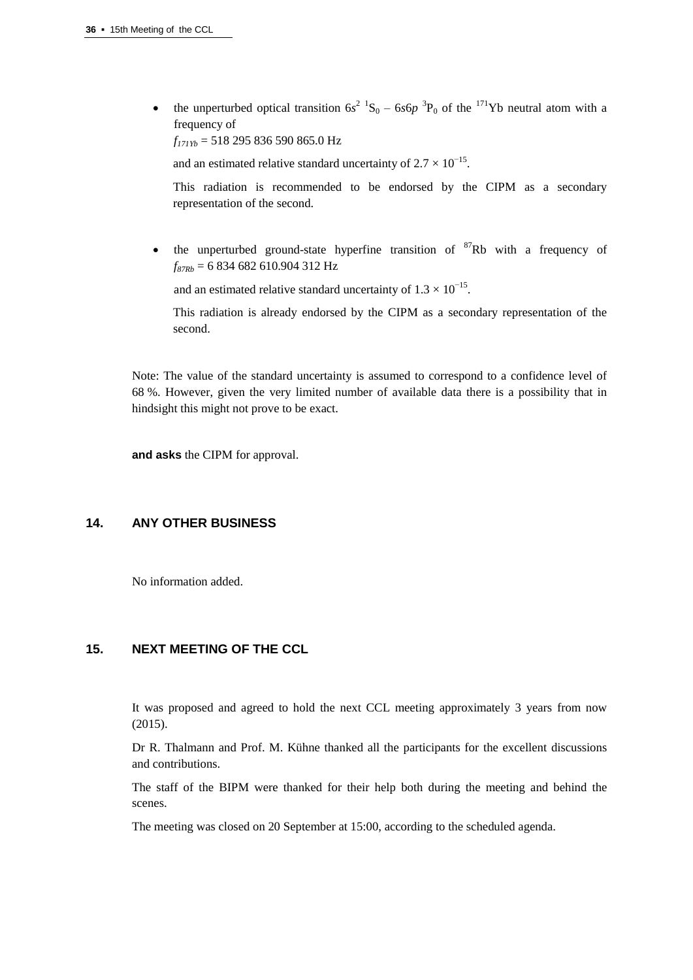• the unperturbed optical transition  $6s^2$   ${}^1S_0 - 6s6p$   ${}^3P_0$  of the  ${}^{171}Yb$  neutral atom with a frequency of

*f171Yb* = 518 295 836 590 865.0 Hz

and an estimated relative standard uncertainty of  $2.7 \times 10^{-15}$ .

This radiation is recommended to be endorsed by the CIPM as a secondary representation of the second.

• the unperturbed ground-state hyperfine transition of  ${}^{87}Rb$  with a frequency of *f87Rb* = 6 834 682 610.904 312 Hz

and an estimated relative standard uncertainty of  $1.3 \times 10^{-15}$ .

This radiation is already endorsed by the CIPM as a secondary representation of the second.

Note: The value of the standard uncertainty is assumed to correspond to a confidence level of 68 %. However, given the very limited number of available data there is a possibility that in hindsight this might not prove to be exact.

**and asks** the CIPM for approval.

# **14. ANY OTHER BUSINESS**

No information added.

# **15. NEXT MEETING OF THE CCL**

It was proposed and agreed to hold the next CCL meeting approximately 3 years from now (2015).

Dr R. Thalmann and Prof. M. Kühne thanked all the participants for the excellent discussions and contributions.

The staff of the BIPM were thanked for their help both during the meeting and behind the scenes.

The meeting was closed on 20 September at 15:00, according to the scheduled agenda.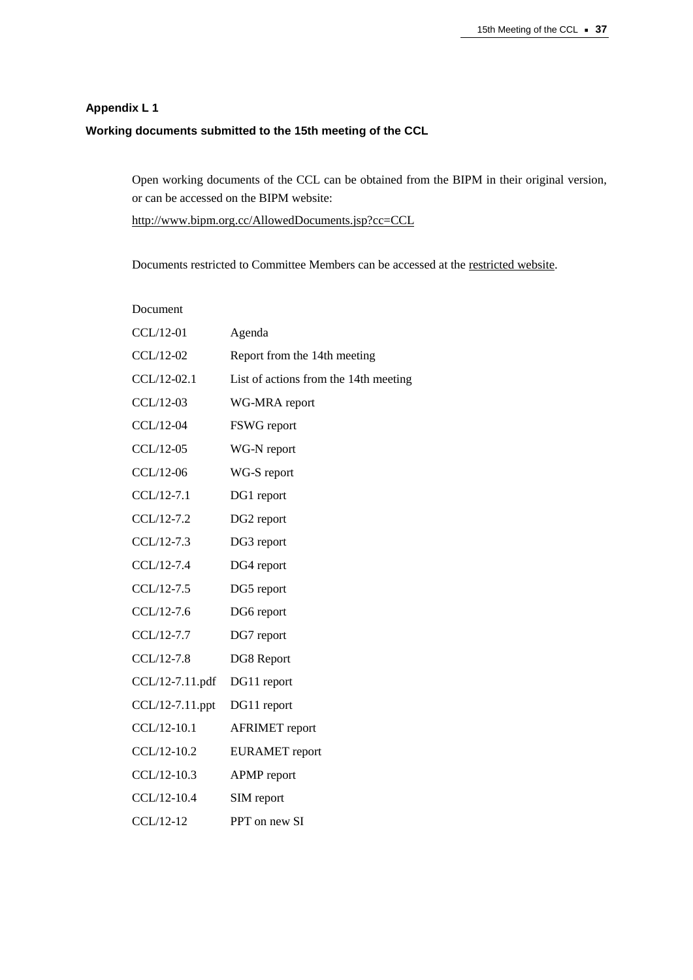# **Appendix L 1 Working documents submitted to the 15th meeting of the CCL**

Open working documents of the CCL can be obtained from the BIPM in their original version, or can be accessed on the BIPM website:

[http://www.bipm.org.cc/AllowedDocuments.jsp?cc=CCL](https://www.bipm.org.cc/AllowedDocuments.jsp?cc=CCL)

Documents restricted to Committee Members can be accessed at th[e restricted website.](https://www.bipm.org/cc/CCL/Restricted/WorkingDocuments.jsp)

| Document           |                                       |
|--------------------|---------------------------------------|
| CCL/12-01          | Agenda                                |
| CCL/12-02          | Report from the 14th meeting          |
| CCL/12-02.1        | List of actions from the 14th meeting |
| CCL/12-03          | WG-MRA report                         |
| CCL/12-04          | FSWG report                           |
| CCL/12-05          | WG-N report                           |
| CCL/12-06          | WG-S report                           |
| CCL/12-7.1         | DG1 report                            |
| CCL/12-7.2         | DG2 report                            |
| CCL/12-7.3         | DG3 report                            |
| CCL/12-7.4         | DG4 report                            |
| CCL/12-7.5         | DG5 report                            |
| CCL/12-7.6         | DG6 report                            |
| CCL/12-7.7         | DG7 report                            |
| CCL/12-7.8         | DG8 Report                            |
| CCL/12-7.11.pdf    | DG11 report                           |
| $CCL/12-7.11$ .ppt | DG11 report                           |
| CCL/12-10.1        | <b>AFRIMET</b> report                 |
| CCL/12-10.2        | <b>EURAMET</b> report                 |
| CCL/12-10.3        | <b>APMP</b> report                    |
| CCL/12-10.4        | SIM report                            |
| CCL/12-12          | PPT on new SI                         |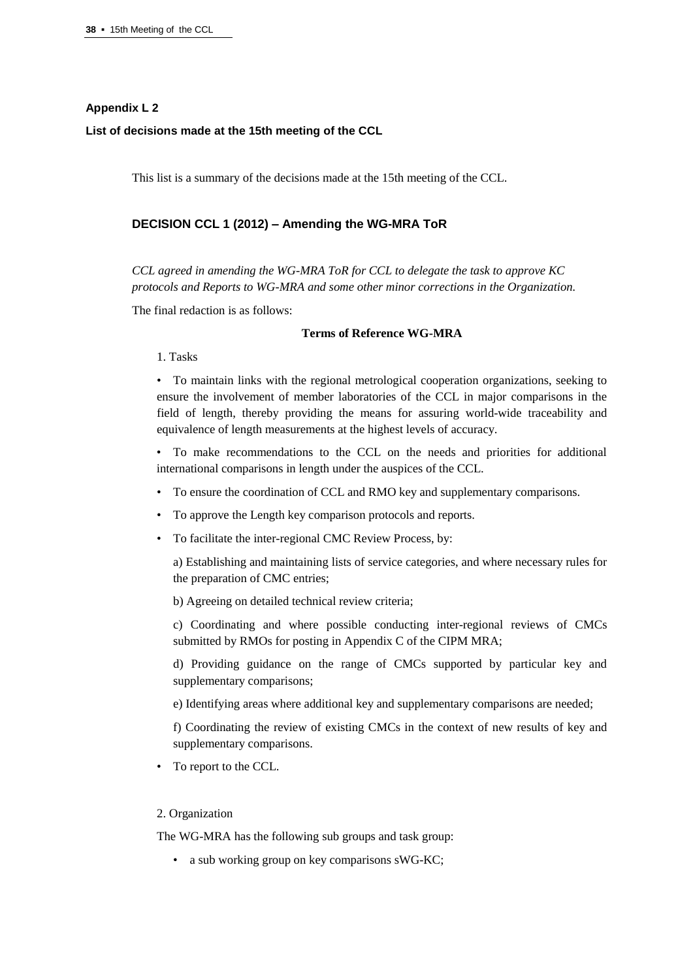## **Appendix L 2**

#### **List of decisions made at the 15th meeting of the CCL**

This list is a summary of the decisions made at the 15th meeting of the CCL.

# **DECISION CCL 1 (2012) – Amending the WG-MRA ToR**

*CCL agreed in amending the WG-MRA ToR for CCL to delegate the task to approve KC protocols and Reports to WG-MRA and some other minor corrections in the Organization.*

The final redaction is as follows:

#### **Terms of Reference WG-MRA**

1. Tasks

• To maintain links with the regional metrological cooperation organizations, seeking to ensure the involvement of member laboratories of the CCL in major comparisons in the field of length, thereby providing the means for assuring world-wide traceability and equivalence of length measurements at the highest levels of accuracy.

- To make recommendations to the CCL on the needs and priorities for additional international comparisons in length under the auspices of the CCL.
- To ensure the coordination of CCL and RMO key and supplementary comparisons.
- To approve the Length key comparison protocols and reports.
- To facilitate the inter-regional CMC Review Process, by:

a) Establishing and maintaining lists of service categories, and where necessary rules for the preparation of CMC entries;

b) Agreeing on detailed technical review criteria;

c) Coordinating and where possible conducting inter-regional reviews of CMCs submitted by RMOs for posting in Appendix C of the CIPM MRA;

d) Providing guidance on the range of CMCs supported by particular key and supplementary comparisons;

e) Identifying areas where additional key and supplementary comparisons are needed;

f) Coordinating the review of existing CMCs in the context of new results of key and supplementary comparisons.

• To report to the CCL.

## 2. Organization

The WG-MRA has the following sub groups and task group:

• a sub working group on key comparisons sWG-KC;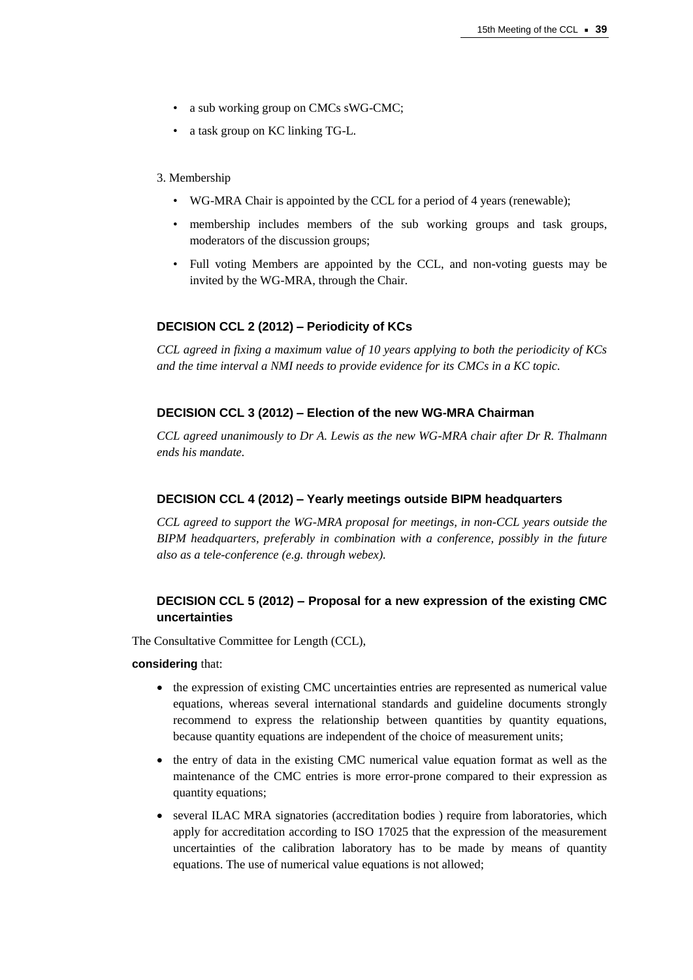- a sub working group on CMCs sWG-CMC;
- a task group on KC linking TG-L.

#### 3. Membership

- WG-MRA Chair is appointed by the CCL for a period of 4 years (renewable);
- membership includes members of the sub working groups and task groups, moderators of the discussion groups;
- Full voting Members are appointed by the CCL, and non-voting guests may be invited by the WG-MRA, through the Chair.

#### **DECISION CCL 2 (2012) – Periodicity of KCs**

*CCL agreed in fixing a maximum value of 10 years applying to both the periodicity of KCs and the time interval a NMI needs to provide evidence for its CMCs in a KC topic.*

# **DECISION CCL 3 (2012) – Election of the new WG-MRA Chairman**

*CCL agreed unanimously to Dr A. Lewis as the new WG-MRA chair after Dr R. Thalmann ends his mandate.*

#### **DECISION CCL 4 (2012) – Yearly meetings outside BIPM headquarters**

*CCL agreed to support the WG-MRA proposal for meetings, in non-CCL years outside the BIPM headquarters, preferably in combination with a conference, possibly in the future also as a tele-conference (e.g. through webex).*

# **DECISION CCL 5 (2012) – Proposal for a new expression of the existing CMC uncertainties**

The Consultative Committee for Length (CCL),

**considering** that:

- the expression of existing CMC uncertainties entries are represented as numerical value equations, whereas several international standards and guideline documents strongly recommend to express the relationship between quantities by quantity equations, because quantity equations are independent of the choice of measurement units;
- the entry of data in the existing CMC numerical value equation format as well as the maintenance of the CMC entries is more error-prone compared to their expression as quantity equations;
- several ILAC MRA signatories (accreditation bodies) require from laboratories, which apply for accreditation according to ISO 17025 that the expression of the measurement uncertainties of the calibration laboratory has to be made by means of quantity equations. The use of numerical value equations is not allowed;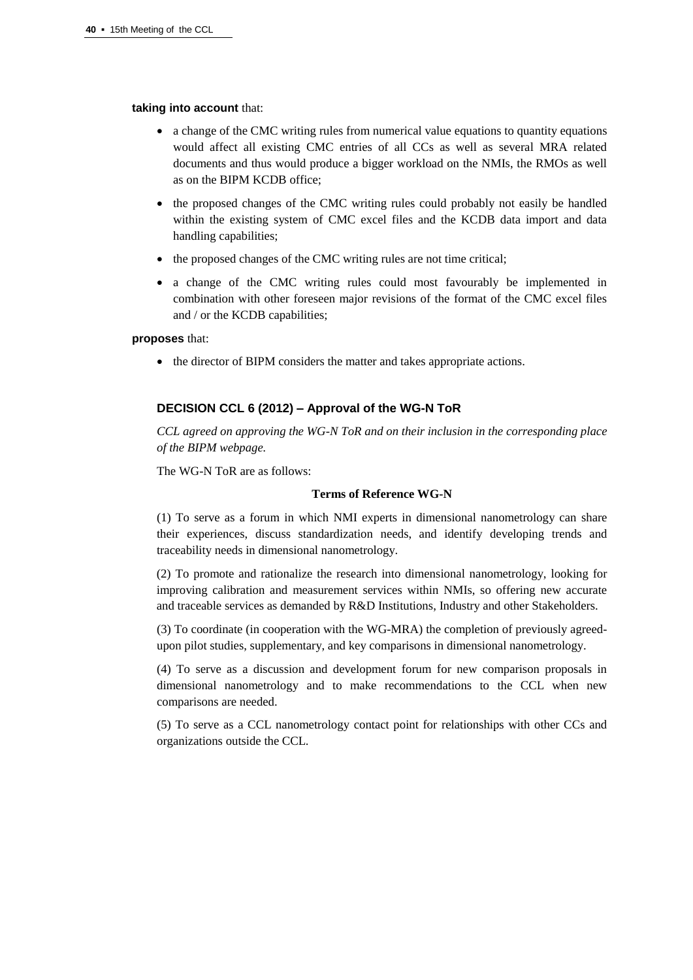#### **taking into account** that:

- a change of the CMC writing rules from numerical value equations to quantity equations would affect all existing CMC entries of all CCs as well as several MRA related documents and thus would produce a bigger workload on the NMIs, the RMOs as well as on the BIPM KCDB office;
- the proposed changes of the CMC writing rules could probably not easily be handled within the existing system of CMC excel files and the KCDB data import and data handling capabilities;
- the proposed changes of the CMC writing rules are not time critical;
- a change of the CMC writing rules could most favourably be implemented in combination with other foreseen major revisions of the format of the CMC excel files and / or the KCDB capabilities;

#### **proposes** that:

• the director of BIPM considers the matter and takes appropriate actions.

# **DECISION CCL 6 (2012) – Approval of the WG-N ToR**

*CCL agreed on approving the WG-N ToR and on their inclusion in the corresponding place of the BIPM webpage.*

The WG-N ToR are as follows:

## **Terms of Reference WG-N**

(1) To serve as a forum in which NMI experts in dimensional nanometrology can share their experiences, discuss standardization needs, and identify developing trends and traceability needs in dimensional nanometrology.

(2) To promote and rationalize the research into dimensional nanometrology, looking for improving calibration and measurement services within NMIs, so offering new accurate and traceable services as demanded by R&D Institutions, Industry and other Stakeholders.

(3) To coordinate (in cooperation with the WG-MRA) the completion of previously agreedupon pilot studies, supplementary, and key comparisons in dimensional nanometrology.

(4) To serve as a discussion and development forum for new comparison proposals in dimensional nanometrology and to make recommendations to the CCL when new comparisons are needed.

(5) To serve as a CCL nanometrology contact point for relationships with other CCs and organizations outside the CCL.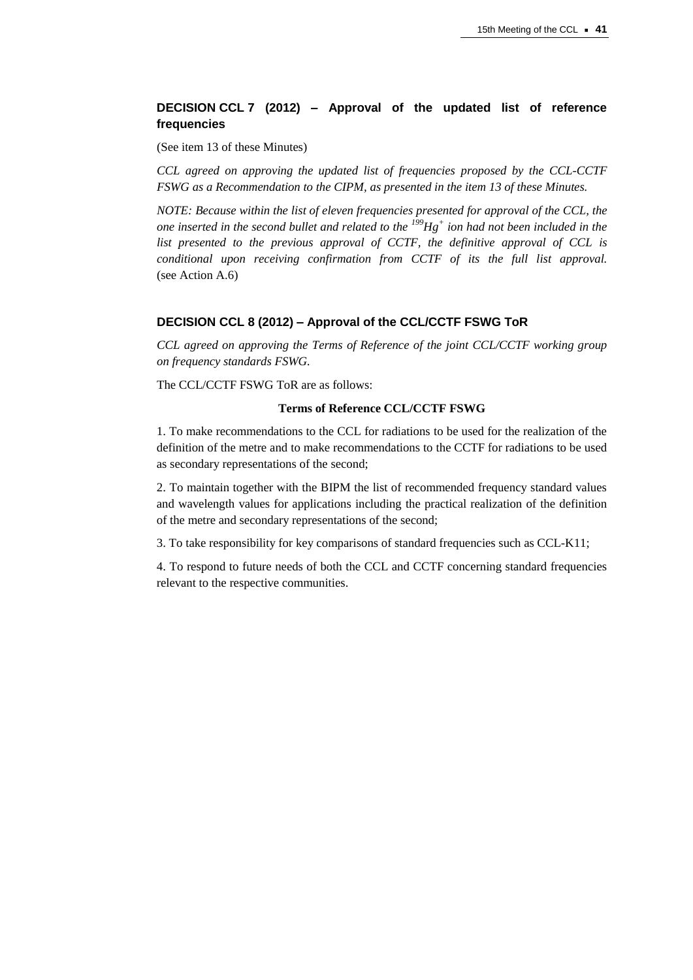# **DECISION CCL 7 (2012) – Approval of the updated list of reference frequencies**

(See item 13 of these Minutes)

*CCL agreed on approving the updated list of frequencies proposed by the CCL-CCTF FSWG as a Recommendation to the CIPM, as presented in the item 13 of these Minutes.*

*NOTE: Because within the list of eleven frequencies presented for approval of the CCL, the one inserted in the second bullet and related to the <sup>199</sup>Hg<sup>+</sup> ion had not been included in the list presented to the previous approval of CCTF, the definitive approval of CCL is conditional upon receiving confirmation from CCTF of its the full list approval.* (see Action A.6)

## **DECISION CCL 8 (2012) – Approval of the CCL/CCTF FSWG ToR**

*CCL agreed on approving the Terms of Reference of the joint CCL/CCTF working group on frequency standards FSWG.*

The CCL/CCTF FSWG ToR are as follows:

# **Terms of Reference CCL/CCTF FSWG**

1. To make recommendations to the CCL for radiations to be used for the realization of the definition of the metre and to make recommendations to the CCTF for radiations to be used as secondary representations of the second;

2. To maintain together with the BIPM the list of recommended frequency standard values and wavelength values for applications including the practical realization of the definition of the metre and secondary representations of the second;

3. To take responsibility for key comparisons of standard frequencies such as CCL-K11;

4. To respond to future needs of both the CCL and CCTF concerning standard frequencies relevant to the respective communities.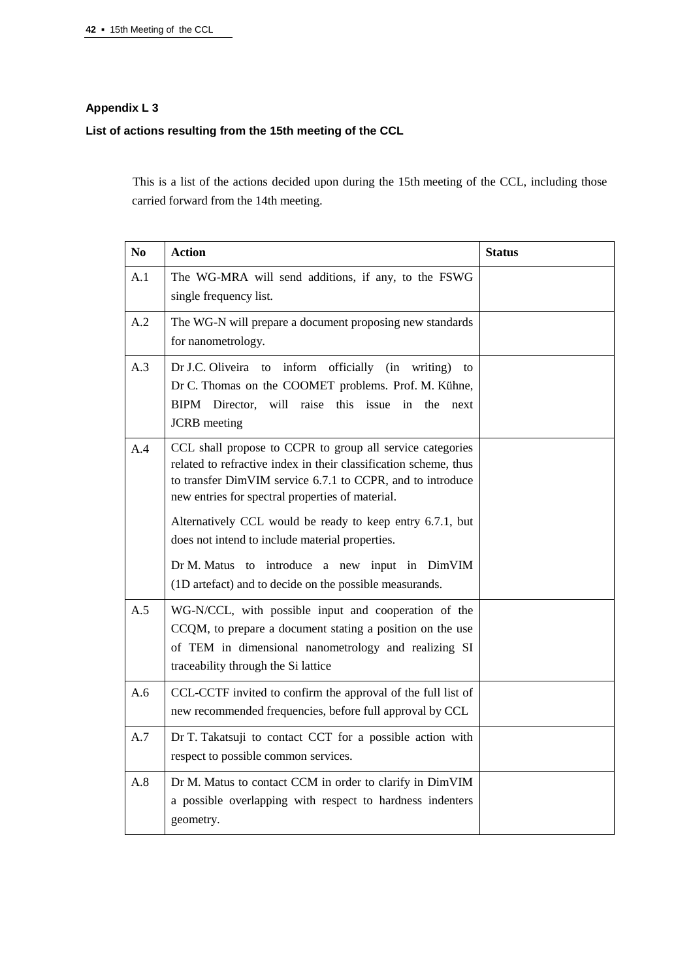# **Appendix L 3**

# **List of actions resulting from the 15th meeting of the CCL**

This is a list of the actions decided upon during the 15th meeting of the CCL, including those carried forward from the 14th meeting.

| N <sub>0</sub> | <b>Action</b>                                                                                                                                                                                                                                   | <b>Status</b> |
|----------------|-------------------------------------------------------------------------------------------------------------------------------------------------------------------------------------------------------------------------------------------------|---------------|
| A.1            | The WG-MRA will send additions, if any, to the FSWG<br>single frequency list.                                                                                                                                                                   |               |
| A.2            | The WG-N will prepare a document proposing new standards<br>for nanometrology.                                                                                                                                                                  |               |
| A.3            | Dr J.C. Oliveira to inform officially (in<br>writing)<br>to<br>Dr C. Thomas on the COOMET problems. Prof. M. Kühne,<br>BIPM Director, will raise this issue in the next<br><b>JCRB</b> meeting                                                  |               |
| A.4            | CCL shall propose to CCPR to group all service categories<br>related to refractive index in their classification scheme, thus<br>to transfer DimVIM service 6.7.1 to CCPR, and to introduce<br>new entries for spectral properties of material. |               |
|                | Alternatively CCL would be ready to keep entry 6.7.1, but<br>does not intend to include material properties.<br>Dr M. Matus to introduce a new input in DimVIM                                                                                  |               |
|                | (1D artefact) and to decide on the possible measurands.                                                                                                                                                                                         |               |
| A.5            | WG-N/CCL, with possible input and cooperation of the<br>CCQM, to prepare a document stating a position on the use<br>of TEM in dimensional nanometrology and realizing SI<br>traceability through the Si lattice                                |               |
| A.6            | CCL-CCTF invited to confirm the approval of the full list of<br>new recommended frequencies, before full approval by CCL                                                                                                                        |               |
| A.7            | Dr T. Takatsuji to contact CCT for a possible action with<br>respect to possible common services.                                                                                                                                               |               |
| A.8            | Dr M. Matus to contact CCM in order to clarify in DimVIM<br>a possible overlapping with respect to hardness indenters<br>geometry.                                                                                                              |               |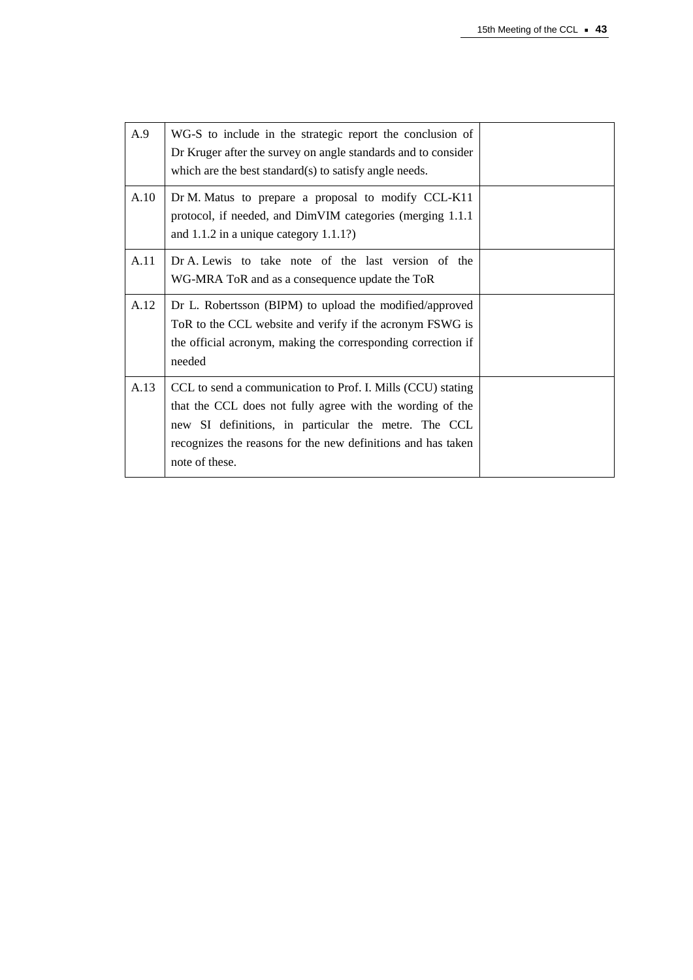| A.9  | WG-S to include in the strategic report the conclusion of<br>Dr Kruger after the survey on angle standards and to consider<br>which are the best standard(s) to satisfy angle needs.                                                                               |  |
|------|--------------------------------------------------------------------------------------------------------------------------------------------------------------------------------------------------------------------------------------------------------------------|--|
| A.10 | Dr M. Matus to prepare a proposal to modify CCL-K11<br>protocol, if needed, and DimVIM categories (merging 1.1.1)<br>and $1.1.2$ in a unique category $1.1.1$ ?)                                                                                                   |  |
| A.11 | Dr A. Lewis to take note of the last version of the<br>WG-MRA ToR and as a consequence update the ToR                                                                                                                                                              |  |
| A.12 | Dr L. Robertsson (BIPM) to upload the modified/approved<br>ToR to the CCL website and verify if the acronym FSWG is<br>the official acronym, making the corresponding correction if<br>needed                                                                      |  |
| A.13 | CCL to send a communication to Prof. I. Mills (CCU) stating<br>that the CCL does not fully agree with the wording of the<br>new SI definitions, in particular the metre. The CCL<br>recognizes the reasons for the new definitions and has taken<br>note of these. |  |